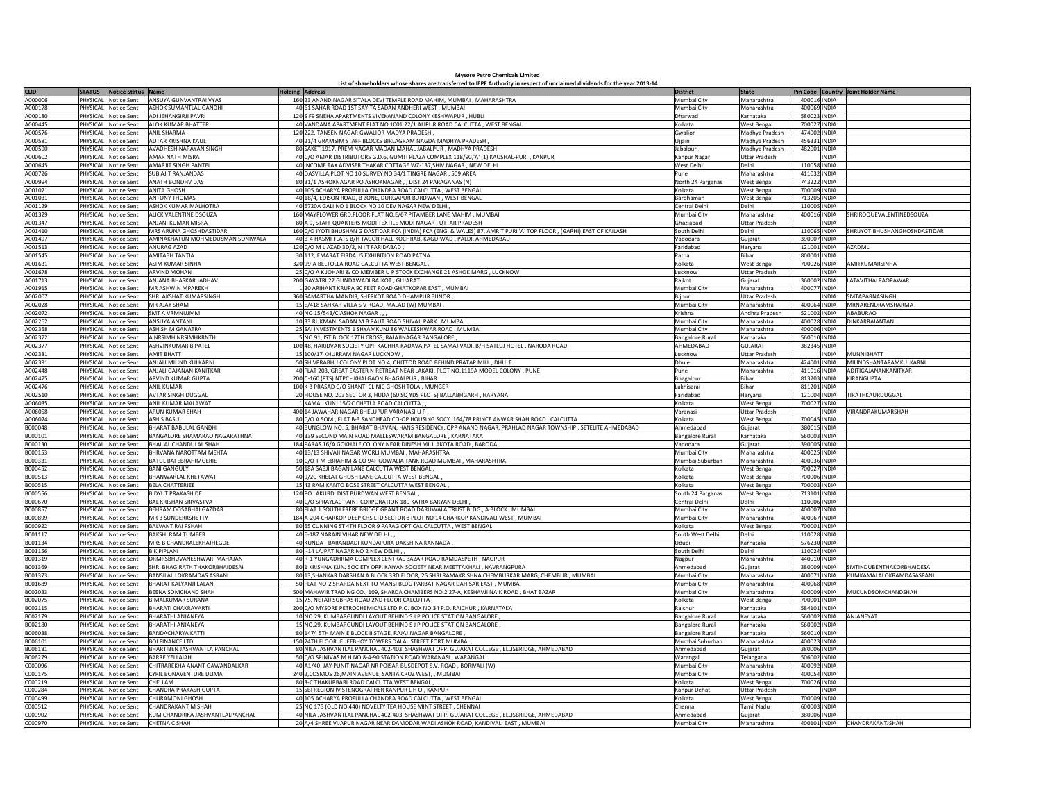## **Mysore Petro Chemicals Limited List of shareholders whose shares are transferred to IEPF Authority in respect of unclaimed dividends for the year 2013-14**

| <b>CLID</b> | <b>STATUS</b>  | Notice Status Name   |                                  | <b>Holding Address</b> |                                                                                                                       | <b>District</b>        | <b>State</b>         |              | Pin Code Country Joint Holder Name   |
|-------------|----------------|----------------------|----------------------------------|------------------------|-----------------------------------------------------------------------------------------------------------------------|------------------------|----------------------|--------------|--------------------------------------|
| A000006     |                | PHYSICAL Notice Sent | ANSUYA GUNVANTRAI VYAS           |                        | 160 23 ANAND NAGAR SITALA DEVI TEMPLE ROAD MAHIM, MUMBAI, MAHARASHTRA                                                 | Mumbai City            | Maharashtra          | 400016 INDIA |                                      |
| A000178     | PHYSICAL       | Notice Sent          | ASHOK SUMANTI AI GANDHI          |                        | 40 61 SAHAR ROAD 1ST SAYITA SADAN ANDHERI WEST, MUMBAI                                                                | Mumbai City            | Maharashtra          | 400069 INDIA |                                      |
| A000180     | PHYSICAL       | Notice Sent          | ADI JEHANGIRJI PAVRI             |                        | 120 S F9 SNEHA APARTMENTS VIVEKANAND COLONY KESHWAPUR, HUBL                                                           | Dharwad                | Karnataka            | 580023 INDIA |                                      |
| A000445     | PHYSICAL       | Notice Sent          | ALOK KUMAR BHATTER               |                        | 40 VANDANA APARTMENT FLAT NO 1001 22/1 ALIPUR ROAD CALCUTTA , WEST BENGAL                                             | Kolkata                | <b>West Bengal</b>   | 700027 INDIA |                                      |
| A000576     | PHYSICAL       | Notice Sent          | <b>ANIL SHARMA</b>               |                        | 120 222, TANSEN NAGAR GWALIOR MADYA PRADESH,                                                                          | Gwalior                | Madhya Pradesh       | 474002 INDIA |                                      |
| A00058:     | PHYSICAL       | <b>Notice Sent</b>   | <b>AUTAR KRISHNA KAUL</b>        |                        | 40 21/4 GRAMSIM STAFF BLOCKS BIRLAGRAM NAGDA MADHYA PRADESH                                                           | Ujjain                 |                      | 456331 INDIA |                                      |
| A000590     | PHYSICAL       | Notice Sent          | AVADHESH NARAYAN SINGH           |                        | 80 SAKET 1917, PREM NAGAR MADAN MAHAL JABALPUR, MADHYA PRADESH                                                        |                        | Madhya Pradesh       | 482001 INDIA |                                      |
|             |                |                      |                                  |                        |                                                                                                                       | Jabalpur               | Madhya Pradesh       |              |                                      |
| 1000602     | PHYSICAL       | Notice Sent          | <b>AMAR NATH MISRA</b>           |                        | 40 C/O AMAR DISTRIBUTORS G.D.6, GUMTI PLAZA COMPLEX 118/90,'A' (1) KAUSHAL-PURI , KANPUR                              | Kanpur Nagar           | Uttar Pradesh        | <b>INDIA</b> |                                      |
| 1000645     | PHYSICAL       | Notice Sent          | AMARJIT SINGH PANTEL             |                        | 40 INCOME TAX ADVISER THAKAR COTTAGE WZ-137, SHIV NAGAR, NEW DELHI                                                    | West Delhi             | Delhi                | 110058 INDIA |                                      |
| A000726     |                | PHYSICAL Notice Sent | <b>SUB AJIT RANJANDAS</b>        |                        | 40 DASVILLA; PLOT NO 10 SURVEY NO 34/1 TINGRE NAGAR, 509 AREA                                                         | Pune                   | Maharashtra          | 411032 INDIA |                                      |
| A000994     |                | PHYSICAL Notice Sent | <b>ANATH BONDHV DAS</b>          |                        | 80 31/1 ASHOKNAGAR PO ASHOKNAGAR, , DIST 24 PARAGANAS (N)                                                             | North 24 Parganas      | West Bengal          | 743222 INDIA |                                      |
| A001021     | PHYSICAL       | Notice Sent          | <b>ANITA GHOSH</b>               |                        | 40 105 ACHARYA PROFULLA CHANDRA ROAD CALCUTTA, WEST BENGAL                                                            | Kolkata                | West Bengal          | 700009 INDIA |                                      |
| A001031     | PHYSICAL       | Notice Sent          | <b>ANTONY THOMAS</b>             |                        | 40 18/4, EDISON ROAD, B ZONE, DURGAPUR BURDWAN, WEST BENGAL                                                           | <b>Bardhaman</b>       | West Bengal          | 713205 INDIA |                                      |
| A001129     | <b>HYSICAL</b> | Notice Sent          | ASHOK KUMAR MALHOTRA             |                        | 40 6720A GALI NO 1 BLOCK NO 10 DEV NAGAR NEW DELHI                                                                    | Central Delh           | Delhi                | 110005 INDIA |                                      |
| A001329     | PHYSICAL       | Notice Sent          | ALICK VALENTINE DSOUZA           |                        | 160 MAYFLOWER GRD.FLOOR FLAT NO.E/67 PITAMBER LANE MAHIM, MUMBAI                                                      | Mumbai City            | Maharashtra          | 400016 INDIA | SHRIROQUEVALENTINEDSOUZA             |
| A001347     | PHYSICAL       | Notice Sent          | ANJANI KUMAR MISRA               |                        | 80 A 9, STAFF QUARTERS MODI TEXTILE MODI NAGAR, UTTAR PRADESH                                                         | Ghaziabad              | <b>Uttar Pradesh</b> | <b>INDIA</b> |                                      |
| A001410     | PHYSICAL       | Notice Sent          | MRS ARUNA GHOSHDASTIDAR          |                        | 160 C/O JYOTI BHUSHAN G DASTIDAR FCA (INDIA) FCA (ENG. & WALES) 87, AMRIT PURI 'A' TOP FLOOR, (GARHI) EAST OF KAILASH | South Delhi            | Delhi                | 110065 INDIA | SHRIJYOTIBHUSHANGHOSHDASTIDAR        |
| A001497     | PHYSICAL       | Notice Sent          | AMINAKHATUN MOHMEDUSMAN SONIWALA |                        | 40 B-4 HASMI FLATS B/H TAGOR HALL KOCHRAB, KAGDIWAD, PALDI, AHMEDABAD                                                 | Vadodara               | Gujarat              | 390007 INDIA |                                      |
| A001513     | PHYSICAL       | Notice Sent          | ANURAG AZAD                      |                        | 120 C/O M L AZAD 3D/2, N I T FARIDABAD                                                                                | Faridabar              | Haryana              | 121001 INDIA | <b>AZADMI</b>                        |
| A001545     | PHYSICAL       | Notice Sent          | <b>AMITABH TANTIA</b>            |                        | 30 112, EMARAT FIRDAUS EXHIBITION ROAD PATNA                                                                          | Patna                  | Bihar                | 800001 INDIA |                                      |
| A001631     | PHYSICAL       | Notice Sent          | <b>ASIM KUMAR SINHA</b>          |                        | 320 99-A BELTOLLA ROAD CALCUTTA WEST BENGAL                                                                           | Kolkata                | <b>West Bengal</b>   | 700026 INDIA | AMITKUMARSINHA                       |
| A001678     |                | PHYSICAL Notice Sent | <b>ARVIND MOHAN</b>              |                        | 25 C/O A K JOHARI & CO MEMBER U P STOCK EXCHANGE 21 ASHOK MARG, LUCKNOW                                               | Lucknow                | <b>Uttar Pradesh</b> | <b>INDIA</b> |                                      |
| A001713     | PHYSICAL       |                      | ANJANA BHASKAR JADHAV            |                        |                                                                                                                       |                        |                      | 360002 INDIA | LATAVITHALRAOPAWAR                   |
|             |                | Notice Sent          | <b>MR ASHWIN MPARFKH</b>         |                        | 200 GAYATRI 22 GUNDAWADI RAJKOT, GUJARAT<br>1 20 ARIHANT KRUPA 90 FEET ROAD GHATKOPAR EAST, MUMBAI                    | Rajkot                 | Gujarat              |              |                                      |
| A001915     | PHYSICAL       | Notice Sent          |                                  |                        |                                                                                                                       | Mumbai City            | Maharashtra          | 400077 INDIA |                                      |
| A002007     | PHYSICAL       | Notice Sent          | SHRI AKSHAT KUMARSINGH           |                        | 360 SAMARTHA MANDIR, SHERKOT ROAD DHAMPUR BIJNOR                                                                      | Biinor                 | <b>Uttar Pradesh</b> | NDIA         | SMTAPARNASINGH                       |
| A002028     | <b>HYSICAL</b> | Notice Sent          | MR AJAY SHAM                     |                        | 15 E/418 SAHKAR VILLA S V ROAD, MALAD (W) MUMBAI                                                                      | Mumbai City            | Maharashtra          | 400064 INDIA | MRNARENDRAMSHARMA                    |
| A002072     | PHYSICAL       | Notice Sent          | <b>SMT A VRMNUJMM</b>            |                        | 40 NO 15/543/C, ASHOK NAGAR,                                                                                          | Krishna                | Andhra Pradesh       | 521002 INDIA | ABABURAO                             |
| A002262     | PHYSICAL       | Notice Sent          | <b>ANSUYA ANTANI</b>             |                        | 10 33 RUKMANI SADAN M B RAUT ROAD SHIVAJI PARK, MUMBAI                                                                | Mumbai City            | Maharashtra          | 400028 INDIA | DINKARRAIANTANI                      |
| A002358     | PHYSICAL       | Notice Sent          | <b>ASHISH M GANATRA</b>          |                        | 25 SAI INVESTMENTS 1 SHYAMKUNJ 86 WALKESHWAR ROAD, MUMBAI                                                             | Mumbai City            | Maharashtra          | 400006 INDIA |                                      |
| A002372     | PHYSICAL       | <b>Notice Sent</b>   | A NRSIMH NRSIMHKRNTH             |                        | 5 NO.91, IST BLOCK 17TH CROSS, RAJAJINAGAR BANGALORE                                                                  | <b>Bangalore Rural</b> | Karnataka            | 560010 INDIA |                                      |
| A002377     | PHYSICAL       | Notice Sent          | ASHVINKUMAR B PATEL              |                        | 100 48, HARIDVAR SOCIETY OPP KACHHA KADAVA PATEL SAMAJ VADI, B/H SATLUJ HOTEL, NARODA ROAD                            | AHMEDABAD              | GUJARAT              | 382345 INDIA |                                      |
| A002381     | PHYSICAL       | Notice Sent          | <b>AMIT BHATT</b>                |                        | 15 100/17 KHURRAM NAGAR LUCKNOW                                                                                       | Lucknow                | <b>Uttar Pradesh</b> |              | INDIA MUNNIBHATT                     |
| A002391     |                | PHYSICAL Notice Sent | ANJALI MILIND KULKARNI           |                        | 50 SHIVPRABHU COLONY PLOT NO.4, CHITTOD ROAD BEHIND PRATAP MILL, DHULE                                                | Dhule                  | Maharashtra          |              | 424001 INDIA MILINDSHANTARAMKULKARNI |
| A002448     |                | PHYSICAL Notice Sent | ANJALI GAJANAN KANITKAR          |                        | 40 FLAT 203, GREAT EASTER N RETREAT NEAR LAKAKI, PLOT NO.1119A MODEL COLONY, PUNE                                     | Pune                   | Maharashtra          | 411016 INDIA | ADITIGAJANANKANITKAR                 |
| A002475     | PHYSICAL       | Notice Sent          | ARVIND KUMAR GUPTA               |                        | 200 C-160 (PTS) NTPC - KHALGAON BHAGALPUR, BIHAR                                                                      |                        | Bihar                | 813203 INDIA | KIRANGUPTA                           |
| A002476     | PHYSICAL       | Notice Sent          | <b>ANIL KUMAR</b>                |                        |                                                                                                                       | Bhagalpur              | Bihar                | 811201 INDIA |                                      |
|             |                |                      |                                  |                        | 100 K B PRASAD C/O SHANTI CLINIC GHOSH TOLA, MUNGER                                                                   | Lakhisarai             |                      |              |                                      |
| A002510     | <b>HYSICAL</b> | Notice Sent          | <b>AVTAR SINGH DUGGAL</b>        |                        | 20 HOUSE NO. 203 SECTOR 3, HUDA (60 SQ YDS PLOTS) BALLABHGARH, HARYANA                                                | aridabad               | Harvana              | 121004 INDIA | TIRATHKAURDUGGAL                     |
| A006035     | PHYSICAL       | Notice Sent          | ANIL KUMAR MALAWAT               |                        | 1 KAMAL KUNJ 15/2C CHETLA ROAD CALCUTTA,                                                                              | <b>Colkata</b>         | West Bengal          | 700027 INDIA |                                      |
| A006058     | PHYSICAL       | <b>Notice Sent</b>   | ARUN KUMAR SHAH                  |                        | 400 14 JAWAHAR NAGAR BHELUPUR VARANASI U P                                                                            | Varanasi               | Uttar Pradesh        | <b>INDIA</b> | VIRANDRAKUMARSHAH                    |
| A006074     | PHYSICAL       | Notice Sent          | <b>ASHIS BASU</b>                |                        | 80 C/O A SOM , FLAT B-3 SANDHEAD CO-OP HOUSING SOCY. 164/78 PRINCE ANWAR SHAH ROAD, CALCUTTA                          | Kolkata                | West Bengal          | 700045 INDIA |                                      |
| B000048     | PHYSICAL       | <b>Notice Sent</b>   | <b>BHARAT BABULAL GANDHI</b>     |                        | 40 BUNGLOW NO. 5, BHARAT BHAVAN, HANS RESIDENCY, OPP ANAND NAGAR, PRAHLAD NAGAR TOWNSHIP, SETELITE AHMEDABAD          | Ahmedaba               | Gujarat              | 380015 INDIA |                                      |
| B000101     | PHYSICAL       | Notice Sent          | BANGALORE SHAMARAO NAGARATHNA    |                        | 40 339 SECOND MAIN ROAD MALLESWARAM BANGALORE, KARNATAKA                                                              | <b>Bangalore Rural</b> | Karnataka            | 560003 INDIA |                                      |
| B000130     | PHYSICAL       | Notice Sent          | BHAILAL CHANDULAL SHAH           |                        | 184 PARAS 16/A GOKHALE COLONY NEAR DINESH MILL AKOTA ROAD, BARODA                                                     | Vadodara               | Guiarat              | 390005 INDIA |                                      |
| B000153     | PHYSICAL       | Notice Sent          | BHRVANA NAROTTAM MEHTA           |                        | 40 13/13 SHIVAJI NAGAR WORLI MUMBAI, MAHARASHTRA                                                                      | Mumbai City            | Maharashtra          | 400025 INDIA |                                      |
| B000331     |                | PHYSICAL Notice Sent | BATUL BAI EBRAHIMGERIE           |                        | 10 C/O T M EBRAHIM & CO 94F GOWALIA TANK ROAD MUMBAI, MAHARASHTRA                                                     | Mumbai Suburban        | Maharashtra          | 400036 INDIA |                                      |
| B000452     | PHYSICAL       | Notice Sent          | <b>BANI GANGULY</b>              |                        | 50 18A SABJI BAGAN LANE CALCUTTA WEST BENGAL                                                                          | Kolkata                | <b>West Bengal</b>   | 700027 INDIA |                                      |
| B000513     | PHYSICAL       | Notice Sent          | BHANWARLAL KHETAWAT              |                        | 40 9/2C KHELAT GHOSH LANE CALCUTTA WEST BENGAL                                                                        | Kolkata                | West Bengal          | 700006 INDIA |                                      |
| B000515     | <b>HYSICAL</b> | Notice Sent          | <b>BELA CHATTERJEE</b>           |                        | 15 43 RAM KANTO BOSE STREET CALCUTTA WEST BENGAL                                                                      | Kolkata                |                      | 700003 INDIA |                                      |
|             |                |                      |                                  |                        |                                                                                                                       |                        | <b>Nest Bengal</b>   |              |                                      |
| B000556     | PHYSICAL       | Notice Sent          | <b>BIDYUT PRAKASH DE</b>         |                        | 120 PO LAKURDI DIST BURDWAN WEST BENGAL,                                                                              | South 24 Parganas      | West Bengal          | 713101 INDIA |                                      |
| B000670     | PHYSICAL       | Notice Sent          | <b>BAL KRISHAN SRIVASTVA</b>     |                        | 40 C/O SPRAYLAC PAINT CORPORATION 189 KATRA BARYAN DELHI                                                              | Central Delh           | Delhi                | 110006 INDIA |                                      |
| B000857     | PHYSICAL       | Notice Sent          | BEHRAM DOSABHAI GAZDAR           |                        | 80 FLAT 1 SOUTH FRERE BRIDGE GRANT ROAD DARUWALA TRUST BLDG., A BLOCK, MUMBAI                                         | Mumbai City            | Maharashtra          | 400007 INDIA |                                      |
| B000899     | PHYSICAL       | Notice Sent          | <b>MR B SUNDERRSHETTY</b>        |                        | 184 A-204 CHARKOP DEEP CHS LTD SECTOR 8 PLOT NO 14 CHARKOP KANDIVALI WEST, MUMBAI                                     | Mumbai City            | Maharashtra          | 400067 INDIA |                                      |
| B000922     | PHYSICAL       | Notice Sent          | <b>BALVANT RAI PSHAH</b>         |                        | 80 55 CUNNING ST 4TH FLOOR 9 PARAG OPTICAL CALCUTTA, WEST BENGAL                                                      | Kolkata                | <b>West Bengal</b>   | 700001 INDIA |                                      |
| B001117     | PHYSICAL       | <b>Notice Sent</b>   | <b>BAKSHI RAM TUMBER</b>         |                        | 40 E-187 NARAIN VIHAR NEW DELHI                                                                                       | South West Delhi       | Jelhi                | 110028 INDIA |                                      |
| B001134     | PHYSICAL       | Notice Sent          | MRS B CHANDRALEKHAJHEGDE         |                        | 40 KUNDA - BARANDADI KUNDAPURA DAKSHINA KANNADA                                                                       | Udupi                  | Karnataka            | 576230 INDIA |                                      |
| B001156     |                | PHYSICAL Notice Sent | <b>B K PIPLANI</b>               |                        | 80 I-14 LAJPAT NAGAR NO 2 NEW DELHI,                                                                                  | South Delhi            | Delhi                | 110024 INDIA |                                      |
| B001319     |                | PHYSICAL Notice Sent | DRMRSBHUVANESHWARI MAHAJAN       |                        | 40 R-1 YUNGADHRMA COMPLEX CENTRAL BAZAR ROAD RAMDASPETH , NAGPUR                                                      | Nagpur                 | Maharashtra          | 440010 INDIA |                                      |
| B001369     | PHYSICAL       | Notice Sent          | SHRI BHAGIRATH THAKORBHAIDESAI   |                        | 80 1 KRISHNA KUNJ SOCIETY OPP. KAIYAN SOCIETY NEAR MEETTAKHALI , NAVRANGPURA                                          | Ahmedabad              | Gujarat              | 380009 INDIA | SMTINDUBENTHAKORBHAIDESAI            |
| B001373     | PHYSICAL       | Notice Sent          | BANSILAL LOKRAMDAS ASRANI        |                        | 80 13, SHANKAR DARSHAN A BLOCK 3RD FLOOR, 25 SHRI RAMAKRISHNA CHEMBURKAR MARG, CHEMBUR, MUMBAI                        | Mumbai City            | Maharashtra          | 400071 INDIA | KUMKAMALALOKRAMDASASRANI             |
| B001689     | PHYSICAL       | Notice Sent          | BHARAT KALYANJI LALAN            |                        | 50 FLAT NO-2 SHARDA NEXT TO MANSI BLDG PARBAT NAGAR DAHISAR EAST, MUMBAI                                              | Mumbai City            | Maharashtra          | 400068 INDIA |                                      |
| B002033     | PHYSICAL       | Notice Sent          | BEENA SOMCHAND SHAH              |                        | 500 MAHAVIR TRADING CO., 109, SHARDA CHAMBERS NO.2 27-A, KESHAVJI NAIK ROAD, BHAT BAZAR                               | Mumbai City            | Maharashtra          | 400009 INDIA | MUKUNDSOMCHANDSHAH                   |
|             |                |                      |                                  |                        |                                                                                                                       |                        |                      |              |                                      |
| B002075     | PHYSICAL       | <b>Notice Sent</b>   | <b>BIMALKUMAR SURANA</b>         |                        | 15 75, NETAJI SUBHAS ROAD 2ND FLOOR CALCUTTA                                                                          | Kolkata                | West Benga           | 700001 INDIA |                                      |
| B002115     | PHYSICAL       | Notice Sent          | <b>BHARATI CHAKRAVARTI</b>       |                        | 200 C/O MYSORE PETROCHEMICALS LTD P.O. BOX NO.34 P.O. RAICHUR, KARNATAKA                                              | Raichur                | Karnataka            | 584101 INDIA |                                      |
| B002179     | PHYSICAL       | Notice Sent          | <b>BHARATHI ANJANEYA</b>         |                        | 10 NO.29, KUMBARGUNDI LAYOUT BEHIND S J P POLICE STATION BANGALORE                                                    | <b>Bangalore Rural</b> | Karnataka            | 560002 INDIA | ANJANEYAT                            |
| B002180     | PHYSICAL       | Notice Sent          | <b>BHARATHI ANJANEYA</b>         |                        | 15 NO.29, KUMBARGUNDI LAYOUT BEHIND S J P POLICE STATION BANGALORE                                                    | <b>Bangalore Rural</b> | Karnataka            | 560002 INDIA |                                      |
| B006038     | PHYSICAL       | Notice Sent          | <b>BANDACHARYA KATTI</b>         |                        | 80 1474 5TH MAIN E BLOCK II STAGE, RAJAJINAGAR BANGALORE                                                              | <b>Bangalore Rural</b> | Karnataka            | 560010 INDIA |                                      |
| B006101     |                | PHYSICAL Notice Sent | <b>BOI FINANCE LTD</b>           |                        | 150 24TH FLOOR JEIJEEBHOY TOWERS DALAL STREET FORT MUMBAI                                                             | Mumbai Suburban        | Maharashtra          | 400023 INDIA |                                      |
| B006181     |                | PHYSICAL Notice Sent | BHARTIBEN JASHVANTLA PANCHAL     |                        | 80 NILA JASHVANTLAL PANCHAL 402-403, SHASHWAT OPP. GUJARAT COLLEGE, ELLISBRIDGE, AHMEDABAD                            | Ahmedabad              | Gujarat              | 380006 INDIA |                                      |
| B006279     | PHYSICAL       | Notice Sent          | <b>BARRE YELLAIAH</b>            |                        | 50 C/O SRINIVAS M H NO 8-4-90 STATION ROAD WARANASI, WARANGAL                                                         | Warangal               | Telangana            | 506002 INDIA |                                      |
| C000096     | PHYSICAL       | Notice Sent          | CHITRAREKHA ANANT GAWANDALKAR    |                        | 40 A1/40, JAY PUNIT NAGAR NR POISAR BUSDEPOT S.V. ROAD, BORIVALI (W)                                                  | Mumbai City            | Maharashtra          | 400092 INDIA |                                      |
| C000175     | PHYSICAL       | Notice Sent          | CYRIL BONAVENTURE DLIMA          |                        | 240 2, COSMOS 26, MAIN AVENUE, SANTA CRUZ WEST, , MUMBAI                                                              | Mumbai City            | Maharashtra          | 400054 INDIA |                                      |
| C000219     | PHYSICAL       | Notice Sent          | CHELLAM                          |                        | 80 3-C THAKURBARI ROAD CALCUTTA WEST BENGAL                                                                           | Kolkata                | West Bengal          | 700026 INDIA |                                      |
|             |                |                      |                                  |                        |                                                                                                                       |                        |                      |              |                                      |
| C000284     | PHYSICAL       | <b>Notice Sent</b>   | CHANDRA PRAKASH GUPTA            |                        | 15 SBI REGION IV STENOGRAPHER KANPUR L HO, KANPUR                                                                     | Kanpur Dehat           | <b>Uttar Pradesh</b> | <b>INDIA</b> |                                      |
| C000499     | PHYSICAL       | Notice Sent          | CHURAMONI GHOSH                  |                        | 40 105 ACHARYA PROFULLA CHANDRA ROAD CALCUTTA, WEST BENGAL                                                            | Kolkata                | West Bengal          | 700009 INDIA |                                      |
| 0000512     | PHYSICAL       | <b>Notice Sent</b>   | <b>CHANDRAKANT M SHAH</b>        |                        | 25 NO 175 (OLD NO 440) NOVELTY TEA HOUSE MINT STREET, CHENNAI                                                         | Chennai                | <b>Tamil Nadu</b>    | 600003 INDIA |                                      |
| 000902      | PHYSICAL       | Notice Sent          | KUM CHANDRIKA JASHVANTLALPANCHAL |                        | 40 NILA JASHVANTLAL PANCHAL 402-403, SHASHWAT OPP. GUJARAT COLLEGE, ELLISBRIDGE, AHMEDABAD                            | Ahmedabad              | Guiarat              | 380006 INDIA |                                      |
| C000970     |                | PHYSICAL Notice Sent | CHETNA C SHAH                    |                        | 20 A/4 SHREE VIJAPUR NAGAR NEAR DAMODAR WADI ASHOK ROAD, KANDIVALI EAST, MUMBAI                                       | Mumbai City            | Maharashtra          |              | 400101 INDIA CHANDRAKANTJSHAH        |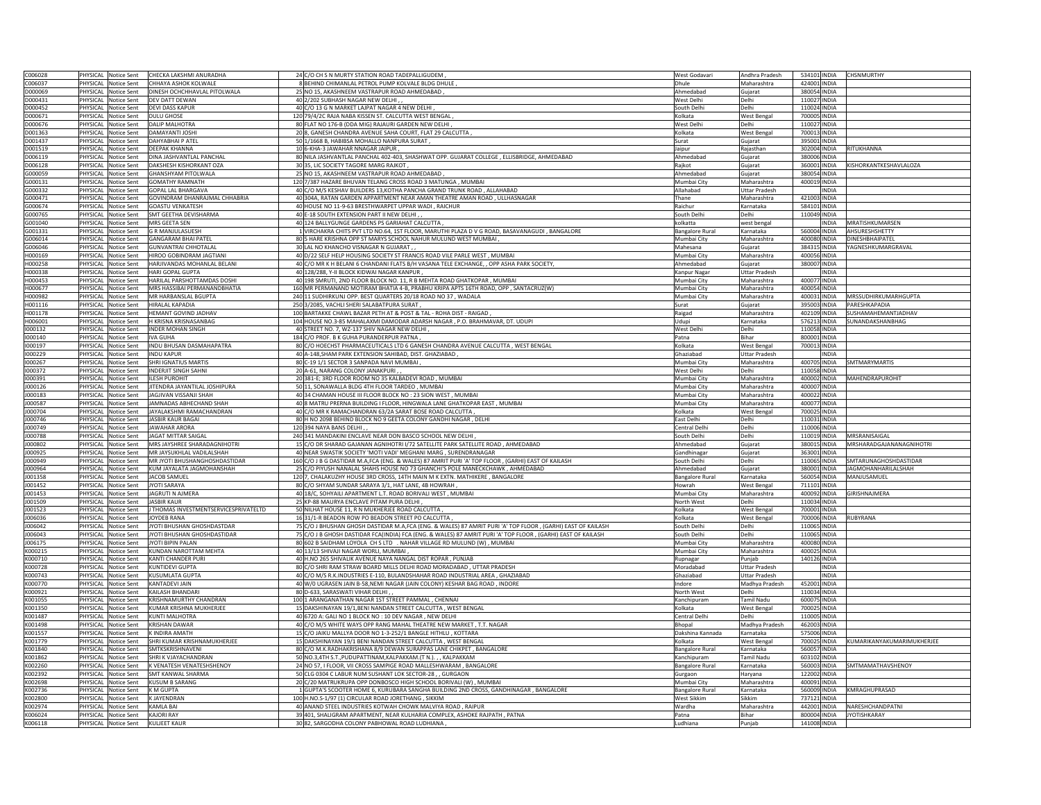| C006028            |                | PHYSICAL Notice Sent       | CHECKA LAKSHMI ANURADHA                     | 24 C/O CH S N MURTY STATION ROAD TADEPALLIGUDEM                                                              | West Godavari          | Andhra Pradesh       | 534101 INDIA | <b>CHSNMURTHY</b>          |
|--------------------|----------------|----------------------------|---------------------------------------------|--------------------------------------------------------------------------------------------------------------|------------------------|----------------------|--------------|----------------------------|
| C006037            |                | PHYSICAL Notice Sent       | CHHAYA ASHOK KOLWALE                        | 8 BEHIND CHIMANLAL PETROL PUMP KOLVALE BLDG DHULE                                                            | Dhule                  | Maharashtra          | 424001 INDIA |                            |
| D000069            |                | PHYSICAL Notice Sent       | DINESH OCHCHHAVLAL PITOLWALA                | 25 NO 15, AKASHNEEM VASTRAPUR ROAD AHMEDABAD                                                                 | Ahmedabad              | Gujarat              | 380054 INDIA |                            |
| D000431            |                | HYSICAL Notice Sent        | DEV DATT DEWAN                              | 40 2/202 SUBHASH NAGAR NEW DELHI,,                                                                           | <b>Nest Delhi</b>      | Delhi                | 110027 INDIA |                            |
| D000452            |                | PHYSICAL Notice Sent       | <b>DEVI DASS KAPUR</b>                      | 40 C/O 13 G N MARKET LAJPAT NAGAR 4 NEW DELHI                                                                | South Delhi            | Delh                 | 110024 INDIA |                            |
| D000671            |                | PHYSICAL Notice Sent       | <b>DULU GHOSE</b>                           | 120 79/4/2C RAJA NABA KISSEN ST. CALCUTTA WEST BENGAL                                                        | Kolkata                | West Bengal          | 700005 INDIA |                            |
| D000676            | PHYSICAL       | Notice Sent                | <b>DALIP MALHOTRA</b>                       | 80 FLAT NO 176-B (DDA MIG) RAJAURI GARDEN NEW DELHI                                                          | West Delhi             | Delh                 | 110027 INDIA |                            |
| D001363            | PHYSICAL       | Notice Sent                | <b>DAMAYANTI JOSHI</b>                      | 20 8, GANESH CHANDRA AVENUE SAHA COURT, FLAT 29 CALCUTTA                                                     | Kolkata                |                      | 700013 INDIA |                            |
|                    |                |                            |                                             |                                                                                                              |                        | <b>West Bengal</b>   |              |                            |
| D001437            |                | PHYSICAL Notice Sent       | DAHYABHAI P ATEL                            | 50 1/1668 B, HABIBSA MOHALLO NANPURA SURAT,                                                                  | Surat                  | Gujarat              | 395001 INDIA |                            |
| D001519            |                | PHYSICAL Notice Sent       | DFFPAK KHANNA                               | 10 6-KHA-3 JAWAHAR NNAGAR JAIPUR                                                                             | Jaipur                 | Rajasthan            | 302004 INDIA | RITUKHANNA                 |
| D006119            | <b>HYSICAL</b> | <b>Notice Sent</b>         | DINA JASHVANTLAL PANCHAL                    | 80 NILA JASHVANTLAL PANCHAL 402-403, SHASHWAT OPP. GUJARAT COLLEGE, ELLISBRIDGE, AHMEDABAD                   | Ahmedabad              | Gujarat              | 380006 INDIA |                            |
| D006128            | PHYSICAL       | Notice Sent                | DAKSHESH KISHORKANT OZA                     | 30 35, LIC SOCIETY TAGORE MARG RAJKOT                                                                        | Rajkot                 | Gujarat              | 360001 INDIA | KISHORKANTKESHAVLALOZA     |
| G000059            | PHYSICAL       | Notice Sent                | <b>SHANSHYAM PITOLWALA</b>                  | 25 NO 15, AKASHNEEM VASTRAPUR ROAD AHMEDABAD,                                                                | Ahmedabad              | Gujarat              | 380054 INDIA |                            |
| G000131            |                | PHYSICAL Notice Sent       | <b>GOMATHY RAMNATH</b>                      | 120 7/387 HAZARE BHUVAN TELANG CROSS ROAD 3 MATUNGA, MUMBAI                                                  | Mumbai Cit             | Maharashtra          | 400019 INDIA |                            |
| G000332            |                | PHYSICAL Notice Sent       | <b>OPALLAL BHARGAVA</b>                     | 40 C/O M/S KESHAV BUILDERS 13, KOTHA PANCHA GRAND TRUNK ROAD, ALLAHABAD                                      | Allahabad              | <b>Uttar Pradesh</b> | INDIA        |                            |
| G000471            |                | PHYSICAL Notice Sent       | GOVINDRAM DHANRAJMAL CHHABRIA               | 40 304A, RATAN GARDEN APPARTMENT NEAR AMAN THEATRE AMAN ROAD, ULLHASNAGAR                                    | Thane                  | Maharashtra          | 421003 INDIA |                            |
| G000674            |                | PHYSICAL Notice Sent       | <b>GOASTU VENKATESH</b>                     | 40 HOUSE NO 11-9-63 BRESTHWARPET UPPAR WADI, RAICHUR                                                         | Raichur                | Karnataka            | 584101 INDIA |                            |
| G000765            |                | PHYSICAL Notice Sent       | SMT GEETHA DEVISHARMA                       | 40 E-18 SOUTH EXTENSION PART II NEW DELHI,                                                                   | South Delhi            | Delhi                | 110049 INDIA |                            |
| G001040            | HYSICAL        | Notice Sent                | MRS GEETA SEN                               | 40 124 BALLYGUNGE GARDENS PS GARIAHAT CALCUTTA                                                               | olkatta                |                      | INDIA        | MRATISHKUMARSEN            |
|                    |                |                            |                                             |                                                                                                              |                        | west bengal          |              |                            |
| G001331            | PHYSICAL       | Notice Sent                | <b>G R MANJULASUESH</b>                     | 1 VIRCHAKRA CHITS PVT LTD NO.64, 1ST FLOOR, MARUTHI PLAZA D V G ROAD, BASAVANAGUDI , BANGALORE               | <b>Bangalore Rura</b>  | Karnataka            | 560004 INDIA | AHSURESHSHETTY             |
| G006014            |                | PHYSICAL Notice Sent       | <b>GANGARAM BHAI PATE</b>                   | 80 5 HARE KRISHNA OPP ST MARYS SCHOOL NAHUR MULUND WEST MUMBAI                                               | Mumbai Cit             | Maharashtra          | 400080 INDIA | <b>DINESHBHAIPATEL</b>     |
| G006046            |                | PHYSICAL Notice Sent       | <b>GUNVANTRAI CHHOTALAL</b>                 | 30 LAL NO KHANCHO VISNAGAR N GUJARAT                                                                         | Mahesana               | Gujarat              | 384315 INDIA | YAGNESHKUMARGRAVAL         |
| H000169            |                | PHYSICAL Notice Sent       | HIROO GOBINDRAM JAGTIANI                    | 40 D/22 SELF HELP HOUSING SOCIETY ST FRANCIS ROAD VILE PARLE WEST, MUMBAI                                    | Mumbai City            | Maharashtra          | 400056 INDIA |                            |
| H000258            |                | PHYSICAL Notice Sent       | HARJIVANDAS MOHANLAL BELANI                 | 40 C/O MR K H BELANI 6 CHANDANI FLATS B/H VASANA TELE EXCHANGE, , OPP ASHA PARK SOCIETY,                     | Ahmedabad              | Gujarat              | 380007 INDIA |                            |
| H000338            |                | PHYSICAL Notice Sent       | HARI GOPAL GUPTA                            | 40 128/288, Y-II BLOCK KIDWAI NAGAR KANPUR                                                                   | Kanpur Naga            | <b>Uttar Pradesh</b> | <b>INDIA</b> |                            |
| H000453            | <b>HYSICAL</b> | Notice Sent                | ARILAL PARSHOTTAMDAS DOSHI                  | 40 198 SMRUTI, 2ND FLOOR BLOCK NO. 11, R B MEHTA ROAD GHATKOPAR, MUMBAI                                      | Aumbai City            | Maharashtra          | 400077 INDIA |                            |
| H000677            | PHYSICAL       | Notice Sent                | <b>MRS HASSIBAI PERMANANDBHATIA</b>         | 160 MR PERMANAND MOTIRAM BHATIA 4-B, PRABHU KRIPA APTS 16TH ROAD, OPP, SANTACRUZ(W)                          | Mumbai City            | Maharashtra          | 400054 INDIA |                            |
| H000982            | PHYSICAL       | <b>Notice Sent</b>         | MR HARBANSLAL BGUPTA                        | 240 11 SUDHIRKUNJ OPP. BEST QUARTERS 20/18 ROAD NO 37, WADALA                                                | Mumbai City            | Maharashtra          | 400031 INDIA | MRSSUDHIRKUMARHGUPTA       |
| H001116            | PHYSICAL       | <b>Notice Sent</b>         | <b>HIRALAL KAPADIA</b>                      | 250 3/2085, VACHLI SHERI SALABATPURA SURAT                                                                   | Surat                  | Guiarat              | 395003 INDIA | PARESHKAPADIA              |
|                    |                |                            |                                             |                                                                                                              |                        |                      |              |                            |
| H001178            |                | PHYSICAL Notice Sent       | HEMANT GOVIND JADHAV                        | 100 BARTAKKE CHAWL BAZAR PETH AT & POST & TAL - ROHA DIST - RAIGAD                                           | Raigad                 | Maharashtra          | 402109 INDIA | SUSHAMAHEMANTJADHAV        |
| H006001            |                | PHYSICAL Notice Sent       | <b>KRISNA KRISNASANBAG</b>                  | 104 HOUSE NO.3-85 MAHALAXMI DAMODAR ADARSH NAGAR, P.O. BRAHMAVAR, DT. UDUPI                                  | Udupi                  | Karnataka            | 576213 INDIA | SUNANDAKSHANBHAG           |
| 1000132            |                | PHYSICAL Notice Sent       | <b>INDER MOHAN SINGH</b>                    | 40 STREET NO. 7, WZ-137 SHIV NAGAR NEW DELHI,                                                                | West Delhi             | Delhi                | 110058 INDIA |                            |
| 1000140            |                | <b>HYSICAL Notice Sent</b> | VA GUHA                                     | 184 C/O PROF. B K GUHA PURANDERPUR PATNA                                                                     | Patna                  | Bihar                | 800001 INDIA |                            |
| 1000197            |                | PHYSICAL Notice Sent       | INDU BHUSAN DASMAHAPATRA                    | 80 C/O HOECHST PHARMACEUTICALS LTD 6 GANESH CHANDRA AVENUE CALCUTTA, WEST BENGAL                             | Kolkata                | <b>West Bengal</b>   | 700013 INDIA |                            |
| 1000229            | PHYSICAL       | Notice Sent                | <b>NDU KAPUR</b>                            | 40 A-148, SHAM PARK EXTENSION SAHIBAD, DIST. GHAZIABAD,                                                      | Ghaziabad              | <b>Uttar Pradesh</b> | <b>INDIA</b> |                            |
| 1000267            | PHYSICAL       | Notice Sent                | <b>SHRI IGNATIUS MARTIS</b>                 | 80 C-19 1/1 SECTOR 3 SANPADA NAVI MUMBAI                                                                     | Mumbai City            | Maharashtra          | 400705 INDIA | <b>SMTMARYMARTIS</b>       |
| 1000372            |                | PHYSICAL Notice Sent       | <b>INDERJIT SINGH SAHNI</b>                 | 20 A-61, NARANG COLONY JANAKPURI,                                                                            | West Delhi             | Delhi                | 110058 INDIA |                            |
| 1000391            |                | PHYSICAL Notice Sent       | <b>LESH PUROHIT</b>                         | 20 381-E; 3RD FLOOR ROOM NO 35 KALBADEVI ROAD, MUMBAI                                                        | Mumbai City            |                      | 400002 INDIA | MAHENDRAPUROHIT            |
|                    |                |                            |                                             |                                                                                                              |                        | Maharashtra          |              |                            |
| J000126            |                | PHYSICAL Notice Sent       | ITENDRA JAYANTILAL JOSHIPURA                | 50 11, SONAWALLA BLDG 4TH FLOOR TARDEO, MUMBAI                                                               | Mumbai City            | Maharashtra          | 400007 INDIA |                            |
| J000183            | PHYSICAL       | Notice Sent                | AGJIVAN VISSANJI SHAH                       | 40 34 CHAMAN HOUSE III FLOOR BLOCK NO : 23 SION WEST, MUMBAI                                                 | Mumbai City            | Maharashtra          | 400022 INDIA |                            |
|                    |                |                            |                                             |                                                                                                              |                        |                      |              |                            |
| J000587            | <b>HYSICAL</b> | <b>Notice Sent</b>         | AMNADAS ABHECHAND SHAH                      | 40 8 MATRU PRERNA BUILDING I FLOOR, HINGWALA LANE GHATKOPAR EAST, MUMBAI                                     | Mumbai City            | Maharashtra          | 400077 INDIA |                            |
| J000704            | PHYSICAL       | Notice Sent                | JAYALAKSHMI RAMACHANDRAN                    | 40 C/O MR K RAMACHANDRAN 63/2A SARAT BOSE ROAD CALCUTTA                                                      | Kolkata                | West Bengal          | 700025 INDIA |                            |
| J000746            | PHYSICAL       | <b>Notice Sent</b>         | <b>JASBIR KAUR BAGAI</b>                    | 80 H NO 2098 BEHIND BLOCK NO 9 GEETA COLONY GANDHI NAGAR, DELHI                                              | East Delhi             | Delh                 | 110031 INDIA |                            |
| J000749            |                | PHYSICAL Notice Sent       | <b>JAWAHAR ARORA</b>                        | 120 394 NAYA BANS DELHI                                                                                      | Central Delh           | Delhi                | 110006 INDIA |                            |
| 000788             |                | PHYSICAL Notice Sent       | <b>JAGAT MITTAR SAIGAL</b>                  | 240 341 MANDAKINI ENCLAVE NEAR DON BASCO SCHOOL NEW DELHI                                                    | South Delhi            | Delh                 | 110019 INDIA | MRSRANISAIGAL              |
| J000802            |                |                            |                                             |                                                                                                              |                        |                      |              |                            |
|                    |                | PHYSICAL Notice Sent       | MRS JAYSHREE SHARADAGNIHOTRI                | 15 C/O DR SHARAD GAJANAN AGNIHOTRI I/72 SATELLITE PARK SATELLITE ROAD, AHMEDABAD                             | Ahmedabad              | Gujarat              | 380015 INDIA | MRSHARADGAJANANAGNIHOTRI   |
| J000925            | PHYSICAL       | Notice Sent                | MR JAYSUKHLAL VADILALSHAH                   | 40 NEAR SWASTIK SOCIETY 'MOTI VADI' MEGHANI MARG, SURENDRANAGAR                                              | Gandhinagai            | Gujarat              | 363001 INDIA |                            |
| J000949            |                | PHYSICAL Notice Sent       | <b><i>IR JYOTI BHUSHANGHOSHDASTIDAR</i></b> | 160 C/O J B G DASTIDAR M.A, FCA (ENG. & WALES) 87 AMRIT PURI 'A' TOP FLOOR, (GARHI) EAST OF KAILASH          | South Delhi            | Delhi                | 110065 INDIA | SMTARUNAGHOSHDASTIDAR      |
| J000964            | PHYSICAL       | Notice Sent                | UM JAYALATA JAGMOHANSHAH                    | 25 C/O PIYUSH NANALAL SHAHS HOUSE NO 73 GHANCHI'S POLE MANECKCHAWK, AHMEDABAD                                | Ahmedabad              | Gujarat              | 380001 INDIA | <b>JAGMOHANHARILALSHAH</b> |
| J001358            | PHYSICAL       | Notice Sent                | <b>JACOB SAMUEL</b>                         | 120 7, CHALAKUZHY HOUSE 3RD CROSS, 14TH MAIN M K EXTN. MATHIKERE, BANGALORE                                  | <b>Bangalore Rural</b> | Karnataka            | 560054 INDIA | MANJUSAMUEL                |
| J001452            |                | PHYSICAL Notice Sent       | <b>YOTI SARAYA</b>                          | 80 C/O SHYAM SUNDAR SARAYA 3/1, HAT LANE, 4B HOWRAH                                                          | Howrah                 | West Bengal          | 711101 INDIA |                            |
| J001453            |                | PHYSICAL Notice Sent       | <b>IAGRUTI N AJMERA</b>                     | 40 18/C, SOHYAILI APARTMENT L.T. ROAD BORIVALI WEST, MUMBAI                                                  | Mumbai City            | Maharashtra          | 400092 INDIA | GIRISHNAJMERA              |
| J001509            |                | PHYSICAL Notice Sent       | <b>JASBIR KAUR</b>                          | 25 KP-88 MAURYA ENCLAVE PITAM PURA DELHI,                                                                    | North West             | Delhi                | 110034 INDIA |                            |
| J001523            |                | PHYSICAL Notice Sent       | THOMAS INVESTMENTSERVICESPRIVATELTD         | 50 NILHAT HOUSE 11, R N MUKHERJEE ROAD CALCUTTA                                                              | Kolkata                | West Bengal          | 700001 INDIA |                            |
| J006036            | PHYSICAL       | <b>Notice Sent</b>         | <b>OYDEB RANA</b>                           | 16 31/1-R BEADON ROW PO BEADON STREET PO CALCUTTA                                                            | <b>Colkata</b>         | <b>West Bengal</b>   | 700006 INDIA | RUBYRANA                   |
| J006042            | <b>HYSICAL</b> | <b>Notice Sent</b>         | YOTI BHUSHAN GHOSHDASTDAR                   | 75 C/O J BHUSHAN GHOSH DASTIDAR M.A,FCA (ENG. & WALES) 87 AMRIT PURI 'A' TOP FLOOR, (GARHI) EAST OF KAILASH  | South Delhi            | Delh                 | 110065 INDIA |                            |
| J006043            | PHYSICAL       | Notice Sent                | YOTI BHUSHAN GHOSHDASTIDAR                  | 75 C/O J B GHOSH DASTIDAR FCA(INDIA) FCA (ENG. & WALES) 87 AMRIT PURI 'A' TOP FLOOR, (GARHI) EAST OF KAILASH | South Delh             | Delh                 | 110065 INDIA |                            |
| J006175            | PHYSICAL       | <b>Notice Sent</b>         | <b>IYOTI BIPIN PALAN</b>                    | 80 602 B SAIDHAM LOYOLA CH S LTD . NAHAR VILLAGE RD MULUND (W), MUMBAI                                       |                        | Maharashtra          |              |                            |
|                    |                |                            |                                             |                                                                                                              | Mumbai Cit             |                      | 400080 INDIA |                            |
| K000215<br>K000710 |                | PHYSICAL Notice Sent       | KUNDAN NAROTTAM MEHTA                       | 40 13/13 SHIVAJI NAGAR WORLI, MUMBAI,                                                                        | Mumbai City            | Maharashtra          | 400025 INDIA |                            |
|                    |                | PHYSICAL Notice Sent       | KANTI CHANDER PURI                          | 40 H.NO 265 SHIVALIK AVENUE NAYA NANGAL DIST ROPAR, PUNJAB                                                   | Rupnagar               | Punjab               | 140126 INDIA |                            |
| K000728            |                | PHYSICAL Notice Sent       | KUNTIDEVI GUPTA                             | 80 C/O SHRI RAM STRAW BOARD MILLS DELHI ROAD MORADABAD, UTTAR PRADESH                                        | Moradabad              | <b>Uttar Pradesh</b> | <b>INDIA</b> |                            |
| K000743            |                | PHYSICAL Notice Sent       | USUMLATA GUPTA                              | 40 C/O M/S R.K.INDUSTRIES E-110, BULANDSHAHAR ROAD INDUSTRIAL AREA, GHAZIABAD                                | Ghaziabad              | <b>Uttar Pradesh</b> | <b>INDIA</b> |                            |
| K000770            | PHYSICAL       | Notice Sent                | <b>ANTADEVI JAIN</b>                        | 40 W/0 UGRASEN JAIN B-58, NEMI NAGAR (JAIN COLONY) KESHAR BAG ROAD, INDORE                                   | ndore                  | Madhya Pradesh       | 452001 INDIA |                            |
| K000921            | PHYSICAL       | Notice Sent                | KAILASH BHANDAR                             | 80 D-633, SARASWATI VIHAR DELHI,,                                                                            | North West             | Delhi                | 110034 INDIA |                            |
| K001055            |                | PHYSICAL Notice Sent       | <b>KRISHNAMURTHY CHANDRAN</b>               | 100 1 ARANGANATHAN NAGAR 1ST STREET PAMMAL, CHENNAI                                                          | Kanchipuran            | Tamil Nadu           | 600075 INDIA |                            |
| K001350            | PHYSICAL       | Notice Sent                | UMAR KRISHNA MUKHERJEE                      | 15 DAKSHINAYAN 19/1, BENI NANDAN STREET CALCUTTA, WEST BENGAL                                                | Kolkata                | <b>West Bengal</b>   | 700025 INDIA |                            |
| K001487            |                | PHYSICAL Notice Sent       | <b>KUNTI MALHOTRA</b>                       | 40 6720 A: GALI NO 1 BLOCK NO : 10 DEV NAGAR, NEW DELHI                                                      | Central Delh           | Delh                 | 110005 INDIA |                            |
| K001498            |                | PHYSICAL Notice Sent       | KRISHAN DAWAR                               | 40 C/O M/S WHITE WAYS OPP RANG MAHAL THEATRE NEW MARKET, T.T. NAGAR                                          | Bhopal                 | Madhya Pradesh       | 462003 INDIA |                            |
| K001557            |                | PHYSICAL Notice Sent       | INDIRA AMATH                                | 15 C/O JAIKU MALLYA DOOR NO 1-3-252/1 BANGLE HITHLU, KOTTARA                                                 | Dakshina Kannada       | Karnataka            | 575006 INDIA |                            |
|                    |                |                            |                                             |                                                                                                              | olkata                 |                      |              |                            |
| K001779            | <b>HYSICAL</b> | <b>Notice Sent</b>         | HRI KUMAR KRISHNAMUKHERJEE                  | 15 DAKSHINAYAN 19/1 BENI NANDAN STREET CALCUTTA, WEST BENGAL                                                 |                        | West Bengal          | 700025 INDIA | KUMARIKANYAKUMARIMUKHERJEE |
| K001840            | PHYSICAL       | Notice Sent                | <b>MTKSKRISHNAVEN</b>                       | 80 C/O M.K.RADHAKRISHANA 8/9 DEWAN SURAPPAS LANE CHIKPET, BANGALORE                                          | Bangalore Rural        | Karnataka            | 560057 INDIA |                            |
| K001862            | PHYSICAL       | <b>Notice Sent</b>         | HRI K VJAYACHANDRAN                         | 50 NO.3,4TH S.T., PUDUPATTINAM, KALPAKKAM. (T N.). , , KALPAKKAM                                             | <b>Canchipuran</b>     | Tamil Nadu           | 603102 INDIA |                            |
| K002260            |                | PHYSICAL Notice Sent       | K VENATESH VENATESHSHENOY                   | 24 NO 57, I FLOOR, VII CROSS SAMPIGE ROAD MALLESHWARAM, BANGALORE                                            | <b>Bangalore Rural</b> | Karnataka            | 560003 INDIA | SMTMAMATHAVSHENOY          |
| K002392            |                | PHYSICAL Notice Sent       | SMT KANWAL SHARMA                           | 50 CLG 0304 C LABUR NUM SUSHANT LOK SECTOR-28, , GURGAON                                                     | Gurgaon                | Harvana              | 122002 INDIA |                            |
| K002698            |                | PHYSICAL Notice Sent       | KUSUM B SARANG                              | 20 C/20 MATRUKRUPA OPP DONBOSCO HIGH SCHOOL BORIVALI (W), MUMBAI                                             | Mumbai City            | Maharashtra          | 400091 INDIA |                            |
| K002736            |                | PHYSICAL Notice Sent       | M GUPTA                                     | 1 GUPTA'S SCOOTER HOME 6, KURUBARA SANGHA BUILDING 2ND CROSS, GANDHINAGAR, BANGALORE                         | <b>Bangalore Rural</b> | Karnataka            | 560009 INDIA | KMRAGHUPRASAD              |
| K002800            | PHYSICAL       | Notice Sent                | <b>JAYENDRAN</b>                            | 100 H.NO.S-1/97 (1) CIRCULAR ROAD JORETHANG, SIKKIM                                                          | West Sikkin            | Sikkim               | 737121 INDIA |                            |
| K002974            | <b>HYSICAL</b> | Notice Sent                | AMLA BAI                                    | 40 ANAND STEEL INDUSTRIES KOTWAH CHOWK MALVIYA ROAD, RAIPUR                                                  | Wardha                 | Maharashtra          | 442001 INDIA | NARESHCHANDPATNI           |
| K006024            |                | PHYSICAL Notice Sent       | <b>KAJORI RAY</b>                           | 39 401, SHALIGRAM APARTMENT, NEAR KULHARIA COMPLEX, ASHOKE RAJPATH, PATNA                                    | Patna                  | Bihar                | 800004 INDIA | <b>JYOTISHKARAY</b>        |
| K006118            |                | PHYSICAL Notice Sent       | <b>KULJEET KAUR</b>                         | 30 82, SARGODHA COLONY PABHOWAL ROAD LUDHIANA                                                                | Ludhiana               | Puniab               | 141008 INDIA |                            |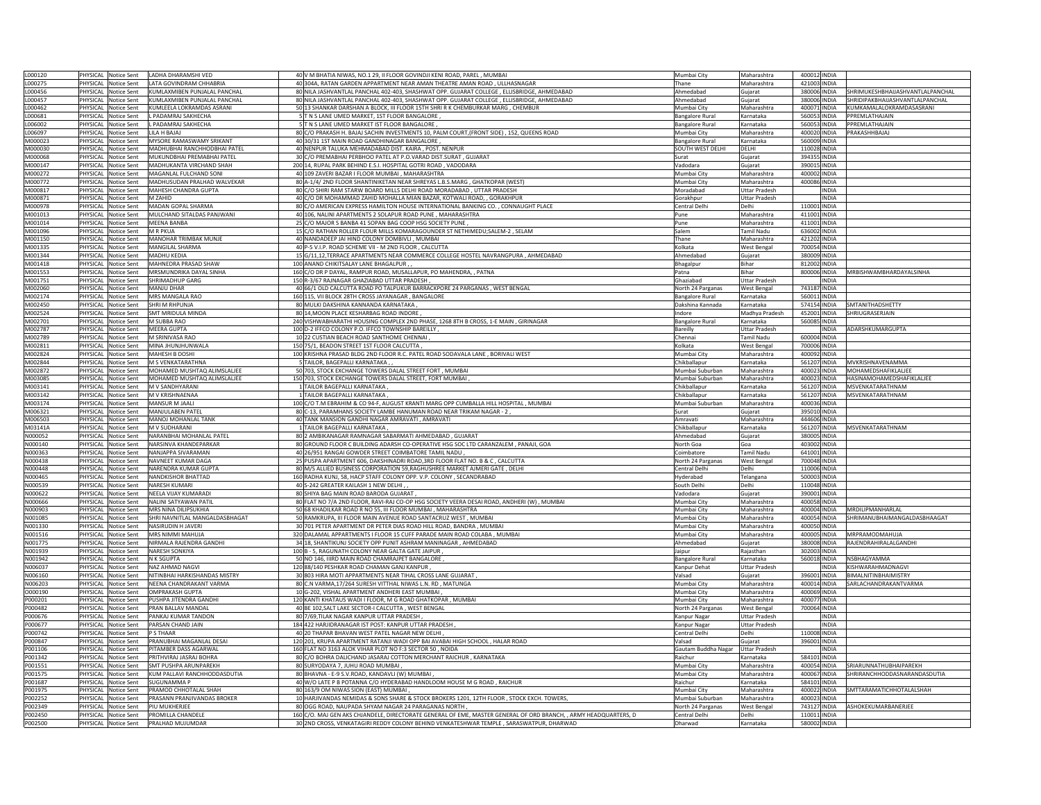| L000120        |                | PHYSICAL Notice Sent                         | LADHA DHARAMSHI VED            | 40 V M BHATIA NIWAS, NO.1 29, II FLOOR GOVINDJI KENI ROAD, PAREL, MUMBAI                                                                                                                                    | Mumbai City                | Maharashtra          | 400012 INDIA |                                  |
|----------------|----------------|----------------------------------------------|--------------------------------|-------------------------------------------------------------------------------------------------------------------------------------------------------------------------------------------------------------|----------------------------|----------------------|--------------|----------------------------------|
| L000275        |                | PHYSICAL Notice Sent                         | LATA GOVINDRAM CHHABRIA        | 40 304A, RATAN GARDEN APPARTMENT NEAR AMAN THEATRE AMAN ROAD, ULLHASNAGAR                                                                                                                                   | Thane                      | Maharashtra          | 421003 INDIA |                                  |
|                |                |                                              |                                |                                                                                                                                                                                                             |                            |                      |              |                                  |
| L000456        |                | PHYSICAL Notice Sent                         | KUMLAXMIBEN PUNJALAL PANCHAL   | 80 NILA JASHVANTLAL PANCHAL 402-403, SHASHWAT OPP. GUJARAT COLLEGE, ELLISBRIDGE, AHMEDABAD                                                                                                                  | Ahmedabad                  | Gujarat              | 380006 INDIA | SHRIMUKESHBHAIJASHVANTLALPANCHAL |
| L000457        |                | PHYSICAL Notice Sent                         | UMLAXMIBEN PUNJALAL PANCHAL    | 80 NILA JASHVANTLAL PANCHAL 402-403, SHASHWAT OPP. GUJARAT COLLEGE, ELLISBRIDGE, AHMEDABAD                                                                                                                  | Ahmedabad                  | Gujarat              | 380006 INDIA | SHRIDIPAKBHAIJASHVANTLALPANCHAL  |
| L000462        |                | PHYSICAL Notice Sent                         | UMLEELA LOKRAMDAS ASRANI       | 50 13 SHANKAR DARSHAN A BLOCK, III FLOOR 15TH SHRI R K CHEMBURKAR MARG, CHEMBUR                                                                                                                             | Mumbai City                | Maharashtra          | 400071 INDIA | KUMKAMALALOKRAMDASASRANI         |
| L000681        |                | PHYSICAL Notice Sent                         | PADAMRAJ SAKHECHA              | 5 T N S LANE UMED MARKET, 1ST FLOOR BANGALORE                                                                                                                                                               | <b>Bangalore Rura</b>      | Karnataka            | 560053 INDIA | PPREMLATHAJAIN                   |
| L006002        |                | PHYSICAL Notice Sent                         | PADAMRAJ SAKHECHA              | 5 T N S LANE UMED MARKET IST FLOOR BANGALORE                                                                                                                                                                | Bangalore Rura             | Karnataka            | 560053 INDIA | PPREMLATHAJAIN                   |
| L006097        | PHYSICAL       | Notice Sent                                  | LILA H BAJAJ                   | 80 C/O PRAKASH H. BAJAJ SACHIN INVESTMENTS 10, PALM COURT, (FRONT SIDE), 152, QUEENS ROAD                                                                                                                   |                            | Maharashtra          | 400020 INDIA | PRAKASHHBAJAJ                    |
|                |                |                                              |                                |                                                                                                                                                                                                             | Mumbai City                |                      |              |                                  |
| M000023        |                | PHYSICAL Notice Sent                         | MYSORE RAMASWAMY SRIKANT       | 40 30/31 1ST MAIN ROAD GANDHINAGAR BANGALORE                                                                                                                                                                | <b>Bangalore Rural</b>     | Karnataka            | 560009 INDIA |                                  |
| M000030        |                | PHYSICAL Notice Sent                         | MADHUBHAI RANCHHODBHAI PATEL   | 40 NENPUR TALUKA MEHMADABAD DIST. KAIRA, POST. NENPUR                                                                                                                                                       | SOUTH WEST DELHI           | DELHI                | 110028 INDIA |                                  |
| <b>M000068</b> |                | PHYSICAL Notice Sent                         | MUKUNDBHAI PREMABHAI PATEL     | 30 C/O PREMABHAI PERBHOO PATEL AT P.O.VARAD DIST.SURAT, GUJARAT                                                                                                                                             | Surat                      | Gujarat              | 394355 INDIA |                                  |
| M000147        | <b>HYSICAL</b> | Notice Sent                                  | MADHUKANTA VIRCHAND SHAH       | 200 14, RUPAL PARK BEHIND E.S.I. HOSPITAL GOTRI ROAD, VADODARA                                                                                                                                              | adodara                    | Guiarat              | 390015 INDIA |                                  |
| M000272        | PHYSICAL       | Notice Sent                                  | MAGANLAL FULCHAND SON          | 40 109 ZAVERI BAZAR I FLOOR MUMBAI, MAHARASHTRA                                                                                                                                                             | Mumbai City                | Maharashtra          | 400002 INDIA |                                  |
| M000772        | PHYSICAL       | Notice Sent                                  | MADHUSUDAN PRALHAD WALVEKAR    | 80 A-1/4/ 2ND FLOOR SHANTINIKETAN NEAR SHREYAS L.B.S.MARG, GHATKOPAR (WEST)                                                                                                                                 | Mumbai City                | Maharashtra          | 400086 INDIA |                                  |
|                |                |                                              | MAHESH CHANDRA GUPTA           | 80 C/O SHIRI RAM STARW BOARD MILLS DELHI ROAD MORADABAD, UTTAR PRADESH                                                                                                                                      |                            |                      |              |                                  |
| M000817        |                | PHYSICAL Notice Sent                         |                                |                                                                                                                                                                                                             | Moradabad                  | <b>Uttar Pradesh</b> | <b>INDIA</b> |                                  |
| M000871        |                | PHYSICAL Notice Sent                         | M ZAHID                        | 40 C/O DR MOHAMMAD ZAHID MOHALLA MIAN BAZAR, KOTWALI ROAD, , GORAKHPUR                                                                                                                                      | Gorakhour                  | <b>Uttar Pradesh</b> | <b>INDIA</b> |                                  |
| M000978        |                | PHYSICAL Notice Sent                         | MADAN GOPAL SHARMA             | 80 C/O AMERICAN EXPRESS HAMILTON HOUSE INTERNATIONAL BANKING CO., CONNAUGHT PLACE                                                                                                                           | Central Delhi              | Delhi                | 110001 INDIA |                                  |
| M001013        |                | PHYSICAL Notice Sent                         | MULCHAND SITALDAS PANJWANI     | 40 106, NALINI APARTMENTS 2 SOLAPUR ROAD PUNE, MAHARASHTRA                                                                                                                                                  | Pune                       | Maharashtra          | 411001 INDIA |                                  |
| M001014        |                | PHYSICAL Notice Sent                         | MEENA BANBA                    | 25 C/O MAJOR S BANBA 41 SOPAN BAG COOP HSG SOCIETY PUNE                                                                                                                                                     | Pune                       | Maharashtra          | 411001 INDIA |                                  |
| M001096        | <b>HYSICAL</b> | Notice Sent                                  | M R PKUA                       | 15 C/O RATHAN ROLLER FLOUR MILLS KOMARAGOUNDER ST NETHIMEDU; SALEM-2, SELAM                                                                                                                                 | Salem                      | <b>Tamil Nadu</b>    | 636002 INDIA |                                  |
|                |                |                                              |                                |                                                                                                                                                                                                             |                            |                      |              |                                  |
| M001150        | PHYSICAL       | Notice Sent                                  | MANOHAR TRIMBAK MUNJE          | 40 NANDADEEP JAI HIND COLONY DOMBIVLI, MUMBAI                                                                                                                                                               | Thane                      | Maharashtra          | 421202 INDIA |                                  |
| M001335        | PHYSICAL       | Notice Sent                                  | MANGILAL SHARMA                | 40 P-5 V.I.P. ROAD SCHEME VII - M 2ND FLOOR, CALCUTTA                                                                                                                                                       | Kolkata                    | West Bengal          | 700054 INDIA |                                  |
| M001344        |                | PHYSICAL Notice Sent                         | MADHU KEDIA                    | 15 G/11,12, TERRACE APARTMENTS NEAR COMMERCE COLLEGE HOSTEL NAVRANGPURA, AHMEDABAD                                                                                                                          | Ahmedabad                  | Guiarat              | 380009 INDIA |                                  |
| M001418        |                | PHYSICAL Notice Sent                         | MAHNEDRA PRASAD SHAW           | 100 ANAND CHIKITSALAY LANE BHAGALPUR                                                                                                                                                                        | Bhagalpur                  | Bihar                | 812002 INDIA |                                  |
| M001553        |                |                                              | MRSMUNDRIKA DAYAL SINHA        |                                                                                                                                                                                                             |                            | Bihar                | 800006 INDIA | MRBISHWAMBHARDAYALSINHA          |
|                |                | PHYSICAL Notice Sent                         |                                | 160 C/O DR P DAYAL, RAMPUR ROAD, MUSALLAPUR, PO MAHENDRA, , PATNA                                                                                                                                           | Patna                      |                      |              |                                  |
| M001751        |                | PHYSICAL Notice Sent                         | SHRIMADHUP GARG                | 150 R-3/67 RAINAGAR GHAZIABAD UTTAR PRADESH,                                                                                                                                                                | Ghaziabad                  | <b>Uttar Pradesh</b> | <b>INDIA</b> |                                  |
| M002060        | <b>HYSICAL</b> | Notice Sent                                  | MANJU DHAR                     | 40 66/1 OLD CALCUTTA ROAD PO TALPUKUR BARRACKPORE 24 PARGANAS, WEST BENGAL                                                                                                                                  | North 24 Parganas          | West Bengal          | 743187 INDIA |                                  |
| M002174        | PHYSICAL       | <b>Notice Sent</b>                           | MRS MANGALA RAO                | 160 115, VII BLOCK 28TH CROSS JAYANAGAR, BANGALORE                                                                                                                                                          | Bangalore Rural            | Karnataka            | 560011 INDIA |                                  |
| M002450        |                | PHYSICAL Notice Sent                         | <b>SHRIM RHPUNJA</b>           | 80 MULKI DAKSHINA KANNANDA KARNATAKA                                                                                                                                                                        | Dakshina Kannada           | Karnataka            | 574154 INDIA | SMTANITHADSHETTY                 |
|                |                |                                              | SMT MRIDULA MINDA              | 80 14, MOON PLACE KESHARBAG ROAD INDORE                                                                                                                                                                     |                            |                      | 452001 INDIA | SHRIUGRASERJAIN                  |
| M002524        |                | PHYSICAL Notice Sent                         |                                |                                                                                                                                                                                                             | ndore                      | Madhya Pradesh       |              |                                  |
| M002701        |                | PHYSICAL Notice Sent                         | M SUBBA RAO                    | 240 VISHWABHARATHI HOUSING COMPLEX 2ND PHASE, 1268 8TH B CROSS, 1-E MAIN , GIRINAGAR                                                                                                                        | <b>Bangalore Rural</b>     | Karnataka            | 560085 INDIA |                                  |
| M002787        |                | PHYSICAL Notice Sent                         | <b>MEERA GUPTA</b>             | 100 D-2 IFFCO COLONY P.O. IFFCO TOWNSHIP BAREILLY,                                                                                                                                                          | Bareilly                   | <b>Uttar Pradesh</b> | INDIA        | ADARSHKUMARGUPTA                 |
| M002789        |                | PHYSICAL Notice Sent                         | M SRINIVASA RAO                | 10 22 CUSTIAN BEACH ROAD SANTHOME CHENNAI                                                                                                                                                                   | Chennai                    | Tamil Nadu           | 600004 INDIA |                                  |
| M002811        |                | PHYSICAL Notice Sent                         | AINA JHUNJHUNWALA              | 150 75/1, BEADON STREET 1ST FLOOR CALCUTTA,                                                                                                                                                                 | olkata)                    | West Bengal          | 700006 INDIA |                                  |
| M002824        |                |                                              | MAHESH B DOSH                  |                                                                                                                                                                                                             |                            | Maharashtra          | 400092 INDIA |                                  |
|                |                | PHYSICAL Notice Sent                         |                                | 100 KRISHNA PRASAD BLDG 2ND FLOOR R.C. PATEL ROAD SODAVALA LANE, BORIVALI WEST                                                                                                                              | Mumbai City                |                      |              |                                  |
| M002844        | PHYSICAL       | Notice Sent                                  | M S VENKATARATHNA              | 5 TAILOR, BAGEPALLI KARNATAKA,                                                                                                                                                                              | Chikballapur               | Karnataka            | 561207 INDIA | MVKRISHNAVENAMMA                 |
| M002872        |                | PHYSICAL Notice Sent                         | MOHAMED MUSHTAQ ALIMSLALIEE    | 50 703, STOCK EXCHANGE TOWERS DALAL STREET FORT, MUMBAI                                                                                                                                                     | Mumbai Suburban            | Maharashtra          | 400023 INDIA | MOHAMEDSHAFIKLALJEE              |
| M003085        |                | PHYSICAL Notice Sent                         | MOHAMED MUSHTAQ ALIMSLALJEE    | 150 703, STOCK EXCHANGE TOWERS DALAL STREET, FORT MUMBAI                                                                                                                                                    | Mumbai Suburban            | Maharashtra          | 400023 INDIA | HASINAMOHAMEDSHAFIKLALJEE        |
| M003141        |                | PHYSICAL Notice Sent                         | M V SANDHYARANI                | 1 TAILOR BAGEPALLI KARNATAKA                                                                                                                                                                                | Chikballapur               | Karnataka            |              | 561207 INDIA MSVENKATARATHNAM    |
|                |                |                                              | M V KRISHNAENAA                |                                                                                                                                                                                                             |                            |                      |              |                                  |
| M003142        |                | PHYSICAL Notice Sent                         |                                | 1 TAILOR BAGEPALLI KARNATAKA,                                                                                                                                                                               | Chikballapur               | Karnataka            | 561207 INDIA | MSVENKATARATHNAM                 |
|                |                |                                              |                                |                                                                                                                                                                                                             |                            |                      |              |                                  |
| M003174        | PHYSICAL       | Notice Sent                                  | MANSUR M JAALI                 | 100 C/O T.M EBRAHIM & CO 94-F, AUGUST KRANTI MARG OPP CUMBALLA HILL HOSPITAL, MUMBAI                                                                                                                        | Mumbai Suburban            | Maharashtra          | 400036 INDIA |                                  |
| M006321        | <b>HYSICAL</b> | Notice Sent                                  | <b>MANJULABEN PATEI</b>        | 80 C-13, PARAMHANS SOCIETY LAMBE HANUMAN ROAD NEAR TRIKAM NAGAR - 2                                                                                                                                         | surat                      | Gujarat              | 395010 INDIA |                                  |
|                |                |                                              |                                |                                                                                                                                                                                                             | Amravati                   | Maharashtra          |              |                                  |
| M006503        | PHYSICAL       | Notice Sent                                  | MANOJ MOHANLAL TANK            | 40 TANK MANSION GANDHI NAGAR AMRAVATI, AMRAVATI                                                                                                                                                             |                            |                      | 444606 INDIA |                                  |
| M03141A        | PHYSICAL       | <b>Notice Sent</b>                           | M V SUDHARANI                  | 1 TAILOR BAGEPALLI KARNATAKA                                                                                                                                                                                | Chikballapu                | Karnataka            | 561207 INDIA | MSVENKATARATHNAM                 |
| N000052        |                | PHYSICAL Notice Sent                         | NARANBHAI MOHANLAL PATEL       | 80 2 AMBIKANAGAR RAMNAGAR SABARMATI AHMEDABAD, GUJARAT                                                                                                                                                      | Ahmedabad                  | Guiarat              | 380005 INDIA |                                  |
| N000140        |                | PHYSICAL Notice Sent                         | NARSINVA KHANDEPARKAR          | 80 GROUND FLOOR C BUILDING ADARSH CO-OPERATIVE HSG SOC LTD CARANZALEM, PANAJI, GOA                                                                                                                          | North Goa                  | Goa                  | 403002 INDIA |                                  |
| N000363        |                | PHYSICAL Notice Sent                         | NANJAPPA SIVARAMAN             | 40 26/951 RANGAI GOWDER STREET COIMBATORE TAMIL NADU                                                                                                                                                        | Coimbatore                 | <b>Tamil Nadu</b>    | 641001 INDIA |                                  |
| N000438        |                |                                              | NAVNEET KUMAR DAGA             |                                                                                                                                                                                                             |                            |                      |              |                                  |
|                |                | PHYSICAL Notice Sent                         |                                | 25 PUSPA APARTMENT 606, DAKSHINADRI ROAD, 3RD FLOOR FLAT NO. B & C, CALCUTTA                                                                                                                                | North 24 Parganas          | West Bengal          | 700048 INDIA |                                  |
| N000448        | PHYSICAL       | Notice Sent                                  | NARENDRA KUMAR GUPTA           | 80 M/S ALLIED BUSINESS CORPORATION 59, RAGHUSHREE MARKET AJMERI GATE, DELHI                                                                                                                                 | Central Delh               | Delhi                | 110006 INDIA |                                  |
| N000465        | PHYSICAL       | Notice Sent                                  | NANDKISHOR BHATTAD             | 160 RADHA KUNJ, 58, HACP STAFF COLONY OPP. V.P. COLONY, SECANDRABAD                                                                                                                                         | <b>Hyderabad</b>           | Telangana            | 500003 INDIA |                                  |
| N000539        | PHYSICAL       | Notice Sent                                  | NARESH KUMARI                  | 40 S-242 GREATER KAILASH 1 NEW DELHI,                                                                                                                                                                       | South Delhi                | Delhi                | 110048 INDIA |                                  |
| N000622        | PHYSICAL       | Notice Sent                                  | NEELA VIJAY KUMARADI           | 80 SHIYA BAG MAIN ROAD BARODA GUJARAT,                                                                                                                                                                      | Vadodara                   | Gujarat              | 390001 INDIA |                                  |
| N000666        |                | PHYSICAL Notice Sent                         | NALINI SATYAWAN PATIL          | 80 FLAT NO 7/A 2ND FLOOR, RAVI-RAJ CO-OP HSG SOCIETY VEERA DESAI ROAD, ANDHERI (W) , MUMBAI                                                                                                                 | Mumbai City                | Maharashtra          | 400058 INDIA |                                  |
|                |                |                                              |                                |                                                                                                                                                                                                             |                            |                      |              |                                  |
| N000903        |                | PHYSICAL Notice Sent                         | MRS NINA DILIPSUKHIA           | 50 68 KHADILKAR ROAD R NO 55, III FLOOR MUMBAI, MAHARASHTRA                                                                                                                                                 | Mumbai City                | Maharashtra          |              | 400004 INDIA MRDILIPMANHARLAL    |
| N001085        |                | PHYSICAL Notice Sent                         | SHRI NAVNITLAL MANGALDASBHAGAT | 50 RAMKRUPA, III FLOOR MAIN AVENUE ROAD SANTACRUZ WEST, MUMBAI                                                                                                                                              | Mumbai City                | Maharashtra          | 400054 INDIA | SHRIMANUBHAIMANGALDASBHAAGAT     |
| N001330        | HYSICAL        | <b>Notice Sent</b>                           | <b>JASIRUDIN H JAVERI</b>      | 30 701 PETER APARTMENT DR PETER DIAS ROAD HILL ROAD, BANDRA , MUMBAI                                                                                                                                        | Mumbai City                | Maharashtra          | 400050 INDIA |                                  |
| N001516        |                | PHYSICAL Notice Sent                         | MRS NIMMI MAHUJA               | 320 DALAMAL APPARTMENTS I FLOOR 15 CUFF PARADE MAIN ROAD COLABA, MUMBAI                                                                                                                                     | Mumbai City                | Maharashtra          | 400005 INDIA | MRPRAMODMAHUJA                   |
| N001775        | PHYSICAL       | <b>Notice Sent</b>                           | NIRMALA RAJENDRA GANDHI        | 34 18, SHANTIKUNJ SOCIETY OPP PUNIT ASHRAM MANINAGAR, AHMEDABAD                                                                                                                                             | Ahmedabad                  | Gujarat              | 380008 INDIA | RAJENDRAHIRALALGANDHI            |
| N001939        | PHYSICAL       | <b>Notice Sent</b>                           | NARESH SONKIYA                 | 100 B - 5, RAGUNATH COLONY NEAR GALTA GATE JAIPUR                                                                                                                                                           | Jaipur                     | Rajasthan            | 302003 INDIA |                                  |
|                |                |                                              |                                |                                                                                                                                                                                                             |                            |                      |              |                                  |
| N001942        |                | PHYSICAL Notice Sent                         | N K SGUPTA                     | 50 NO 146, IIIRD MAIN ROAD CHAMRAJPET BANGALORE                                                                                                                                                             | <b>Bangalore Rural</b>     | Karnataka            | 560018 INDIA | NSBHAGYAMMA                      |
| N006037        |                | PHYSICAL Notice Sent                         | NAZ AHMAD NAGVI                | 120 88/140 PESHKAR ROAD CHAMAN GANJ KANPUR                                                                                                                                                                  | Kanpur Dehat               | <b>Uttar Pradesh</b> | <b>INDIA</b> | KISHWARAHMADNAGVI                |
| N006160        |                | PHYSICAL Notice Sent                         | NITINBHAI HARKISHANDAS MISTRY  | 30 803 HIRA MOTI APPARTMENTS NEAR TIHAL CROSS LANE GUJARAT                                                                                                                                                  | Valsad                     | Gujarat              | 396001 INDIA | BIMALNITINBHAIMISTRY             |
| N006203        |                | PHYSICAL Notice Sent                         | NFFNA CHANDRAKANT VARMA        | 80 C.N VARMA, 17/264 SURESH VITTHAL NIWAS L.N. RD, MATUNGA                                                                                                                                                  |                            | Maharashtra          | 400014 INDIA | SARI ACHANDRAKANTVARMA           |
| 0000190        |                | PHYSICAL Notice Sent                         | OMPRAKASH GUPTA                | 10 G-202, VISHAL APARTMENT ANDHERI EAST MUMBAI                                                                                                                                                              | Mumbai City<br>Mumbai City | Maharashtra          | 400069 INDIA |                                  |
|                |                |                                              |                                |                                                                                                                                                                                                             |                            |                      |              |                                  |
| P000201        |                | PHYSICAL Notice Sent                         | PUSHPA JITENDRA GANDHI         | 120 KANTI KHATAUS WADI I FLOOR, M G ROAD GHATKOPAR, MUMBAI                                                                                                                                                  | Mumbai City                | Maharashtra          | 400077 INDIA |                                  |
| P000482        |                | PHYSICAL Notice Sent                         | PRAN BALLAV MANDAI             | 40 BE 102, SALT LAKE SECTOR-I CALCUTTA, WEST BENGAL                                                                                                                                                         | North 24 Parganas          | <b>West Bengal</b>   | 700064 INDIA |                                  |
| P000676        |                | PHYSICAL Notice Sent                         | PANKAJ KUMAR TANDON            | 80 7/69, TILAK NAGAR KANPUR UTTAR PRADESH                                                                                                                                                                   | Kanpur Nagar               | <b>Uttar Pradesh</b> | <b>INDIA</b> |                                  |
| P000677        |                | PHYSICAL Notice Sent                         | PARSAN CHAND JAIN              | 184 422 HARJIDRANAGAR IST POST: KANPUR UTTAR PRADESH,                                                                                                                                                       | Kanpur Nagar               | Uttar Pradesh        | <b>INDIA</b> |                                  |
| P000742        |                | PHYSICAL Notice Sent                         | <b>STHAAR</b>                  | 40 20 THAPAR BHAVAN WEST PATEL NAGAR NEW DELHI                                                                                                                                                              | Central Delhi              | Delhi                | 110008 INDIA |                                  |
| P000847        |                |                                              | RANUBHAI MAGANLAL DESAI        |                                                                                                                                                                                                             | /alsad                     |                      |              |                                  |
|                |                | PHYSICAL Notice Sent                         |                                | 120 201, KRUPA APARTMENT RATANJI WADI OPP BAI AVABAI HIGH SCHOOL, HALAR ROAD                                                                                                                                |                            | Gujarat              | 396001 INDIA |                                  |
| P001106        | PHYSICAL       | Notice Sent                                  | <b>ITAMBER DASS AGARWAL</b>    | 160 FLAT NO 3163 ALOK VIHAR PLOT NO F:3 SECTOR 50, NOIDA                                                                                                                                                    | <b>Gautam Buddha Nagar</b> | <b>Uttar Pradesh</b> | INDIA        |                                  |
| P001342        | PHYSICAL       | Notice Sent                                  | RITHVIRAJ JASRAJ BOHRA         | 80 C/O BOHRA DALICHAND JASARAJ COTTON MERCHANT RAICHUR, KARNATAKA                                                                                                                                           | aichur                     | Karnataka            | 584101 INDIA |                                  |
| P001551        | PHYSICAL       | <b>Notice Sent</b>                           | SMT PUSHPA ARUNPAREKH          | 80 SURYODAYA 7, JUHU ROAD MUMBAI                                                                                                                                                                            | Mumbai City                | Maharashtra          | 400054 INDIA | SRIARUNNATHUBHAIPAREKH           |
| P001575        |                | PHYSICAL Notice Sent                         | KUM PALLAVI RANCHHODDASDUTIA   |                                                                                                                                                                                                             | Mumbai City                | Maharashtra          |              | SHRIRANCHHODDASNARANDASDUTIA     |
|                |                |                                              |                                | 80 BHAVNA - E-9 S.V.ROAD, KANDAVLI (W) MUMBAI                                                                                                                                                               |                            |                      | 400067 INDIA |                                  |
| P001687        |                | PHYSICAL Notice Sent                         | SUGUNAMMA P                    | 40 W/O LATE P B POTANNA C/O HYDERABAD HANDLOOM HOUSE M G ROAD, RAICHUR                                                                                                                                      | Raichur                    | Karnataka            | 584101 INDIA |                                  |
| P001975        |                | PHYSICAL Notice Sent                         | PRAMOD CHHOTALAL SHAH          | 80 163/9 OM NIWAS SION (EAST) MUMBAI                                                                                                                                                                        | Mumbai City                | Maharashtra          | 400022 INDIA | SMTTARAMATICHHOTALALSHAH         |
| P002252        |                | PHYSICAL Notice Sent                         | PRASANN PRANJIVANDAS BROKER    | 10 HARJIVANDAS NEMIDAS & SONS SHARE & STOCK BROKERS 1201, 12TH FLOOR, STOCK EXCH. TOWERS,                                                                                                                   | Mumbai Suburban            | Maharashtra          | 400023 INDIA |                                  |
| P002349        |                | PHYSICAL Notice Sent                         | IU MUKHERJEE                   | 80 OGG ROAD, NAUPADA SHYAM NAGAR 24 PARAGANAS NORTH,                                                                                                                                                        | North 24 Parganas          | West Bengal          | 743127 INDIA | ASHOKEKUMARBANERJEE              |
| P002450        |                |                                              | PROMILLA CHANDELE              |                                                                                                                                                                                                             | Central Delh               | Delhi                | 110011 INDIA |                                  |
| P002500        |                | PHYSICAL Notice Sent<br>PHYSICAL Notice Sent | PRALHAD MUJUMDAR               | 160 C/O. MAJ GEN AKS CHJANDELE, DIRECTORATE GENERAL OF EME, MASTER GENERAL OF ORD BRANCH, , ARMY HEADQUARTERS, D<br>30 2ND CROSS, VENKATAGIRI REDDY COLONY BEHIND VENKATESHWAR TEMPLE, SARASWATPUR, DHARWAD | Dharwad                    | Karnataka            | 580002 INDIA |                                  |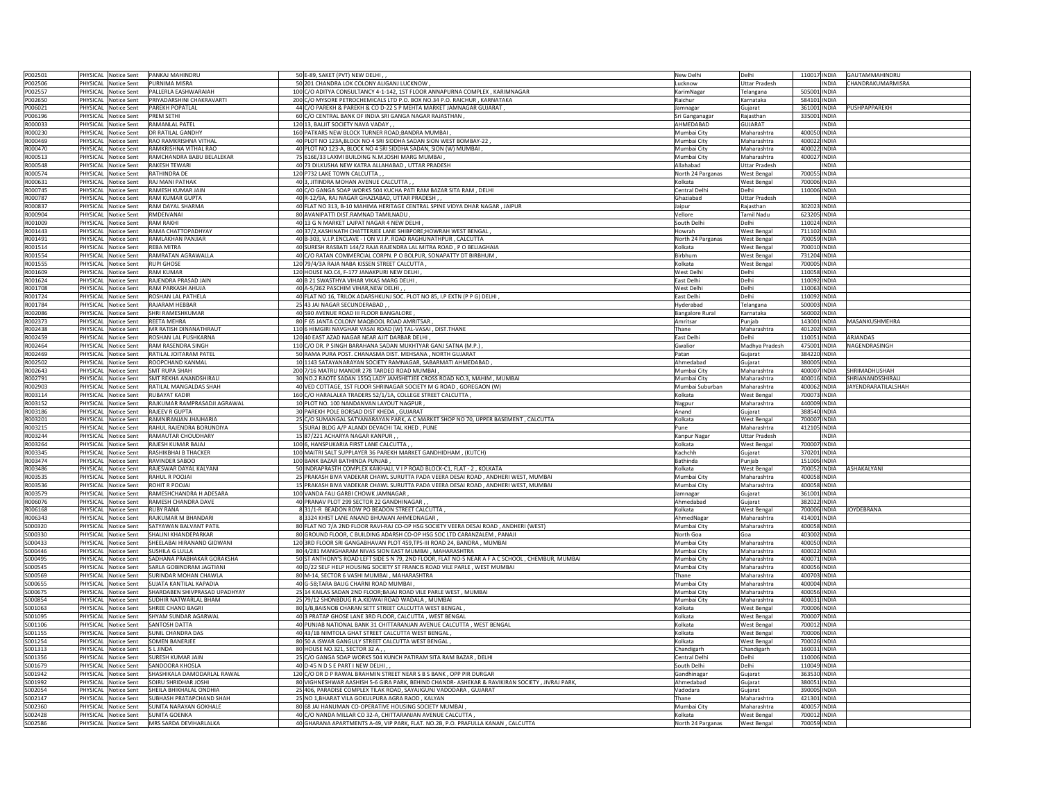| P002501             |          | PHYSICAL Notice Sent                | PANKAJ MAHINDRU                                              | 50 E-89, SAKET (PVT) NEW DELHI                                                                                                                 | New Delhi                    | Delhi                             | 110017 INDIA                 | GAUTAMMAHINDRU      |
|---------------------|----------|-------------------------------------|--------------------------------------------------------------|------------------------------------------------------------------------------------------------------------------------------------------------|------------------------------|-----------------------------------|------------------------------|---------------------|
| P002506             |          | PHYSICAL Notice Sent                | PURNIMA MISRA                                                | 50 201 CHANDRA LOK COLONY ALIGANJ LUCKNOW,                                                                                                     | Lucknow                      | Uttar Pradesh                     | <b>INDIA</b>                 | CHANDRAKUMARMISRA   |
| P002557             | PHYSICAL | <b>Notice Sent</b>                  | PALLERLA EASHWARAIAH                                         | 100 C/O ADITYA CONSULTANCY 4-1-142, 1ST FLOOR ANNAPURNA COMPLEX, KARIMNAGAR                                                                    |                              |                                   | 505001 INDIA                 |                     |
|                     |          |                                     |                                                              |                                                                                                                                                | KarimNagar                   | Telangana                         |                              |                     |
| P002650             | PHYSICAL | Notice Sent                         | PRIYADARSHINI CHAKRAVARTI                                    | 200 C/O MYSORE PETROCHEMICALS LTD P.O. BOX NO.34 P.O. RAICHUR, KARNATAKA                                                                       | Raichur                      | Karnataka                         | 584101 INDIA                 |                     |
| P006021             | PHYSICAL | Notice Sent                         | PAREKH POPATLAL                                              | 44 C/O PAREKH & PAREKH & CO D-22 S P MEHTA MARKET JAMNAGAR GUJARAT                                                                             | amnagar                      | Guiarat                           | 361001 INDIA                 | PUSHPAPPAREKH       |
| P006196             | PHYSICAL | Notice Sent                         | PREM SETHI                                                   | 60 C/O CENTRAL BANK OF INDIA SRI GANGA NAGAR RAJASTHAN                                                                                         | iri Ganganagai               | Rajasthan                         | 335001 INDIA                 |                     |
| R000033             | PHYSICAL | <b>Notice Sent</b>                  | RAMANLAL PATEI                                               | 120 13, BALJIT SOCIETY NAVA VADAY,                                                                                                             | AHMEDABAD                    | GUIARAT                           | <b>INDIA</b>                 |                     |
| R000230             | PHYSICAL | Notice Sent                         | DR RATILAL GANDHY                                            | 160 PATKARS NEW BLOCK TURNER ROAD; BANDRA MUMBAI                                                                                               | Mumbai City                  | Maharashtra                       | 400050 INDIA                 |                     |
| R000469             |          | PHYSICAL Notice Sent                | RAO RAMKRISHNA VITHAL                                        | 40 PLOT NO 123A, BLOCK NO 4 SRI SIDDHA SADAN SION WEST BOMBAY-22                                                                               | Mumbai City                  | Maharashtra                       | 400022 INDIA                 |                     |
| R000470             |          | PHYSICAL Notice Sent                | RAMKRISHNA VITHAL RAO                                        | 40 PLOT NO 123-A, BLOCK NO 4 SRI SIDDHA SADAN, SION (W) MUMBAI                                                                                 | Mumbai City                  | Maharashtra                       | 400022 INDIA                 |                     |
| R000513             | PHYSICAL | <b>Notice Sent</b>                  | RAMCHANDRA BABU BELALEKAR                                    | 75 616E/33 LAXMI BUILDING N.M.JOSHI MARG MUMBAI                                                                                                | Mumbai City                  | Maharashtra                       | 400027 INDIA                 |                     |
| R000548             | PHYSICAL | Notice Sent                         | RAKESH TEWARI                                                | 40 73 DILKUSHA NEW KATRA ALLAHABAD, UTTAR PRADESH                                                                                              | llahabad                     | Uttar Pradesh                     | INDIA                        |                     |
| R000574             | PHYSICAL | Notice Sent                         | <b>RATHINDRA DE</b>                                          | 120 P732 LAKE TOWN CALCUTTA,                                                                                                                   | Jorth 24 Parganas            | West Bengal                       | 700055 INDIA                 |                     |
| R000631             | PHYSICAL | <b>Notice Sent</b>                  | <b>RAJ MANI PATHAK</b>                                       | 40 3, JITINDRA MOHAN AVENUE CALCUTTA,                                                                                                          | <b>Colkata</b>               | West Bengal                       | 700006 INDIA                 |                     |
| R000745             | PHYSICAL | Notice Sent                         | RAMESH KUMAR JAIN                                            | 40 C/O GANGA SOAP WORKS 504 KUCHA PATI RAM BAZAR SITA RAM, DELHI                                                                               | Central Delh                 | Delh                              | 110006 INDIA                 |                     |
| R000787             |          | PHYSICAL Notice Sent                | RAM KUMAR GUPTA                                              | 40 R-12/9A, RAJ NAGAR GHAZIABAD, UTTAR PRADESH                                                                                                 | <b>Shaziabad</b>             | Uttar Pradesh                     | <b>INDIA</b>                 |                     |
| R000837             |          | PHYSICAL Notice Sent                | RAM DAYAL SHARMA                                             | 40 FLAT NO 313, B-10 MAHIMA HERITAGE CENTRAL SPINE VIDYA DHAR NAGAR, JAIPUR                                                                    | laipur                       | Raiasthan                         | 302023 INDIA                 |                     |
| R000904             | PHYSICAL | <b>Notice Sent</b>                  | RMDFIVANAI                                                   | 80 AVANIPATTI DIST.RAMNAD TAMILNADU                                                                                                            | Vellore                      | <b>Tamil Nadu</b>                 | 623205 INDIA                 |                     |
| R001009             | PHYSICAL | Notice Sent                         | RAM RAKHI                                                    | 40 13 G N MARKET LAJPAT NAGAR 4 NEW DELHI                                                                                                      | South Delh                   | Delhi                             | 110024 INDIA                 |                     |
| R001443             | PHYSICAL |                                     | RAMA CHATTOPADHYAY                                           |                                                                                                                                                | lowrah                       |                                   |                              |                     |
|                     |          | Notice Sent                         |                                                              | 40 37/2, KASHINATH CHATTERJEE LANE SHIBPORE; HOWRAH WEST BENGAL                                                                                |                              | West Bengal                       | 711102 INDIA                 |                     |
| R001491             | PHYSICAL | Notice Sent                         | RAMLAKHAN PANJIAR                                            | 40 B-303, V.I.P.ENCLAVE - I ON V.I.P. ROAD RAGHUNATHPUR, CALCUTTA                                                                              | North 24 Parganas            | <b>West Bengal</b>                | 700059 INDIA                 |                     |
| R001514             | PHYSICAL | Notice Sent                         | REBA MITRA                                                   | 40 SURESH RASBATI 144/2 RAJA RAJENDRA LAL MITRA ROAD, P O BELIAGHAIA                                                                           | Kolkata                      | West Bengal                       | 700010 INDIA                 |                     |
| R001554             |          | PHYSICAL Notice Sent                | RAMRATAN AGRAWALLA                                           | 40 C/O RATAN COMMERCIAL CORPN. P O BOLPUR, SONAPATTY DT BIRBHUM                                                                                | <b>Birbhum</b>               | West Bengal                       | 731204 INDIA                 |                     |
| R001555             |          | PHYSICAL Notice Sent                | <b>RUPI GHOSE</b>                                            | 120 79/4/3A RAJA NABA KISSEN STREET CALCUTTA                                                                                                   | Kolkata                      | West Bengal                       | 700005 INDIA                 |                     |
| R001609             |          | PHYSICAL Notice Sent                | <b>RAM KUMAF</b>                                             | 120 HOUSE NO.C4, F-177 JANAKPURI NEW DELHI                                                                                                     | West Delhi                   | Delhi                             | 110058 INDIA                 |                     |
| R001624             | PHYSICAL | Notice Sent                         | RAJENDRA PRASAD JAIN                                         | 40 B 21 SWASTHYA VIHAR VIKAS MARG DELHI                                                                                                        | East Delhi                   | Delhi                             | 110092 INDIA                 |                     |
| R001708             |          | PHYSICAL Notice Sent                | <b>RAM PARKASH AHUJA</b>                                     | 40 A-5/262 PASCHIM VIHAR, NEW DELHI                                                                                                            | Vest Delhi                   | Delhi                             | 110063 INDIA                 |                     |
| R001724             | PHYSICAL | Notice Sent                         | ROSHAN LAL PATHELA                                           | 40 FLAT NO 16, TRILOK ADARSHKUNJ SOC. PLOT NO 85, I.P EXTN (P P G) DELHI                                                                       | East Delhi                   | Delhi                             | 110092 INDIA                 |                     |
| R001784             | PHYSICAL | Notice Sent                         | <b>RAIARAM HEBBAR</b>                                        | 25 43 JAI NAGAR SECUNDERABAD,                                                                                                                  | Hyderabad                    | Telangana                         | 500003 INDIA                 |                     |
| R002086             | PHYSICAL | Notice Sent                         | SHRI RAMESHKUMAR                                             | 40 590 AVENUE ROAD III FLOOR BANGALORE                                                                                                         | Bangalore Rura               | Karnataka                         | 560002 INDIA                 |                     |
| R002373             |          | PHYSICAL Notice Sent                | REETA MEHRA                                                  | 80 F 65 JANTA COLONY MAQBOOL ROAD AMRITSAR                                                                                                     | Amritsar                     | Punjab                            | 143001 INDIA                 | MASANKUSHMEHRA      |
| R002438             |          |                                     | MR RATISH DINANATHRAUT                                       | 110 6 HIMGIRI NAVGHAR VASAI ROAD (W) TAL-VASAI, DIST.THANE                                                                                     | Thane                        |                                   |                              |                     |
| R002459             |          | PHYSICAL Notice Sent                |                                                              |                                                                                                                                                |                              | Maharashtra<br>Delhi              | 401202 INDIA                 |                     |
|                     | PHYSICAL | Notice Sent                         | ROSHAN LAL PUSHKARNA                                         | 120 40 EAST AZAD NAGAR NEAR AJIT DARBAR DELHI                                                                                                  | East Delhi                   |                                   | 110051 INDIA                 | ARJANDAS            |
| R002464             | PHYSICAL | Notice Sent                         | RAM RASENDRA SINGH                                           | 110 C/O DR. P SINGH BARAHANA SADAN MUKHTYAR GANJ SATNA (M.P.)                                                                                  | iwalior                      | Madhya Pradesh                    | 475001 INDIA                 | NAGENDRASINGH       |
| R002469             | PHYSICAL | Notice Sent                         | RATILAL JOITARAM PATEL                                       | 50 RAMA PURA POST. CHANASMA DIST. MEHSANA, NORTH GUJARAT                                                                                       | 'atan                        | Gujarat                           | 384220 INDIA                 |                     |
| R002502             | PHYSICAL | Notice Sent                         | ROOPCHAND KANMAL                                             | 10 1143 SATAYANARAYAN SOCIETY RAMNAGAR, SABARMATI AHMEDABAD                                                                                    | Ahmedabac                    | Gujarat                           | 380005 INDIA                 |                     |
| R002643             | PHYSICAL | Notice Sent                         | <b>SMT RUPA SHAH</b>                                         | 200 7/16 MATRU MANDIR 278 TARDEO ROAD MUMBAI                                                                                                   | Mumbai City                  | Maharashtra                       | 400007 INDIA                 | SHRIMADHUSHAH       |
| R002791             |          | PHYSICAL Notice Sent                | SMT REKHA ANANDSHIRALI                                       | 30 NO.2 RAOTE SADAN 155Q LADY JAMSHETJEE CROSS ROAD NO.3, MAHIM, MUMBAI                                                                        | Mumbai City                  | Maharashtra                       | 400016 INDIA                 | SHRIANANDSSHIRALI   |
| R002903             |          | PHYSICAL Notice Sent                | RATILAL MANGALDAS SHAH                                       | 40 VED COTTAGE, 1ST FLOOR SHRINAGAR SOCIETY M G ROAD, GOREGAON (W)                                                                             | Mumbai Suburban              | Maharashtra                       | 400062 INDIA                 | JAYENDRARATILALSHAH |
| R003114             | PHYSICAL | Notice Sent                         | <b>RUBAYAT KADIR</b>                                         | 160 C/O HARALALKA TRADERS 52/1/1A, COLLEGE STREET CALCUTTA                                                                                     | Kolkata                      | West Bengal                       | 700073 INDIA                 |                     |
| R003152             | PHYSICAL | Notice Sent                         | RAJKUMAR RAMPRASADJI AGRAWAL                                 | 10 PLOT NO. 100 NANDANVAN LAYOUT NAGPUR                                                                                                        | Vagpur                       | Maharashtra                       | 440009 INDIA                 |                     |
|                     |          |                                     |                                                              |                                                                                                                                                |                              |                                   |                              |                     |
|                     |          |                                     |                                                              |                                                                                                                                                |                              |                                   |                              |                     |
| R003186             | PHYSICAL | <b>Notice Sent</b>                  | RAJEEV R GUPTA                                               | 30 PAREKH POLE BORSAD DIST KHEDA, GUJARAT                                                                                                      | Anand                        | Gujarat                           | 388540 INDIA                 |                     |
| R003201             | PHYSICAL | Notice Sent                         | RAMNIRANJAN JHAJHARIA                                        | 25 C/O SUMANGAL SATYANARAYAN PARK, A C MARKET SHOP NO 70, UPPER BASEMENT, CALCUTTA                                                             | Kolkata                      | West Bengal                       | 700007 INDIA                 |                     |
| R003215             | PHYSICAL | Notice Sent                         | RAHUL RAJENDRA BORUNDIYA                                     | 5 SURAJ BLDG A/P ALANDI DEVACHI TAL KHED, PUNE                                                                                                 | <sup>2</sup> une             | Maharashtra                       | 412105 INDIA                 |                     |
| R003244             |          | PHYSICAL Notice Sent                | RAMAUTAR CHOUDHARY                                           | 15 87/221 ACHARYA NAGAR KANPUR                                                                                                                 | Kanpur Nagar                 | Uttar Pradesh                     | <b>INDIA</b>                 |                     |
| R003264             |          | PHYSICAL Notice Sent                | RAJESH KUMAR BAJAJ                                           | 100 6, HANSPUKARIA FIRST LANE CALCUTTA                                                                                                         | Kolkata                      | West Bengal                       | 700007 INDIA                 |                     |
| R003345             | PHYSICAL | Notice Sent                         | RASHIKBHAI B THACKER                                         | 100 MAITRI SALT SUPPLAYER 36 PAREKH MARKET GANDHIDHAM, (KUTCH)                                                                                 | Kachchh                      | Gujarat                           | 370201 INDIA                 |                     |
| R003474             | PHYSICAL | Notice Sent                         | RAVINDER SABOO                                               | 100 BANK BAZAR BATHINDA PUNJAB                                                                                                                 | athinda                      | Puniab                            | 151005 INDIA                 |                     |
| R003486             | PHYSICAL | Notice Sent                         | RAJESWAR DAYAL KALYANI                                       | 50 INDRAPRASTH COMPLEX KAIKHALI, V I P ROAD BLOCK-C1, FLAT - 2, KOLKATA                                                                        | <b>Colkata</b>               | West Bengal                       | 700052 INDIA                 | ASHAKALYANI         |
| R003535             | PHYSICAL | Notice Sent                         | RAHUL R POOJAI                                               | 25 PRAKASH BIVA VADEKAR CHAWL SURUTTA PADA VEERA DESAI ROAD, ANDHERI WEST, MUMBAI                                                              | Mumbai City                  | Maharashtra                       | 400058 INDIA                 |                     |
| R003536             | PHYSICAL | Notice Sent                         | ROHIT R POOJAI                                               | 15 PRAKASH BIVA VADEKAR CHAWL SURUTTA PADA VEERA DESAI ROAD, ANDHERI WEST, MUMBAI                                                              | Mumbai City                  | Maharashtra                       | 400058 INDIA                 |                     |
| R003579             | PHYSICAL | Notice Sent                         | RAMESHCHANDRA H ADESARA                                      | 100 VANDA FALI GARBI CHOWK JAMNAGAR                                                                                                            | amnagar                      | Guiarat                           | 361001 INDIA                 |                     |
| R006076             |          | PHYSICAL Notice Sent                | RAMESH CHANDRA DAVE                                          | 40 PRANAV PLOT 299 SECTOR 22 GANDHINAGAR,                                                                                                      | Ahmedabac                    | Gujarat                           | 382022 INDIA                 |                     |
| R006168             | PHYSICAL | Notice Sent                         | <b>RUBY RANA</b>                                             | 831/1-R BEADON ROW PO BEADON STREET CALCUTTA,                                                                                                  | Kolkata                      | West Bengal                       | 700006 INDIA                 | <b>JOYDEBRANA</b>   |
| R006343             | PHYSICAL | Notice Sent                         | RAJKUMAR M BHANDARI                                          | 83324 KHIST LANE ANAND BHUWAN AHMEDNAGAR                                                                                                       | AhmedNaga                    | Maharashtra                       | 414001 INDIA                 |                     |
| S000320             | PHYSICAL | Notice Sent                         | SATYAWAN BALVANT PATIL                                       | 80 FLAT NO 7/A 2ND FLOOR RAVI-RAJ CO-OP HSG SOCIETY VEERA DESAI ROAD, ANDHERI (WEST)                                                           | Aumbai City                  | Maharashtra                       | 400058 INDIA                 |                     |
| S000330             | PHYSICAL | lotice Sent                         | SHALINI KHANDEPARKAR                                         | 80 GROUND FLOOR, C BUILDING ADARSH CO-OP HSG SOC LTD CARANZALEM, PANAJI                                                                        | <b>North Goa</b>             | Goa                               | 403002 INDIA                 |                     |
| S000433             | PHYSICAL |                                     | SHEELABAI HIRANAND GIDWANI                                   | 120 3RD FLOOR SRI GANGABHAVAN PLOT 459, TPS-III ROAD 24, BANDRA, MUMBAI                                                                        |                              | Maharashtra                       | 400050 INDIA                 |                     |
| S000446             | PHYSICAL | Notice Sent<br>Notice Sent          | SUSHILA G LULLA                                              | 80 4/281 MANGHARAM NIVAS SION EAST MUMBAI, MAHARASHTRA                                                                                         | Mumbai City<br>Mumbai City   | Maharashtra                       | 400022 INDIA                 |                     |
|                     |          |                                     | SADHANA PRABHAKAR GORAKSHA                                   |                                                                                                                                                |                              | Maharashtra                       |                              |                     |
| S000495             |          | PHYSICAL Notice Sent                |                                                              | 50 ST ANTHONY'S ROAD LEFT SIDE S N 79, 2ND FLOOR, FLAT NO-5 NEAR A F A C SCHOOL, CHEMBUR, MUMBAI                                               | Mumbai City                  |                                   | 400071 INDIA                 |                     |
| S000545<br>\$000569 |          | PHYSICAL Notice Sent<br>Notice Sent | SARLA GOBINDRAM JAGTIANI<br>SURINDAR MOHAN CHAWLA            | 40 D/22 SELF HELP HOUSING SOCIETY ST FRANCIS ROAD VILE PARLE, WEST MUMBAI                                                                      | Mumbai City<br>`hane         | Maharashtra<br>Maharashtra        | 400056 INDIA                 |                     |
|                     | PHYSICAL |                                     |                                                              | 80 M-14, SECTOR 6 VASHI MUMBAI, MAHARASHTRA                                                                                                    |                              |                                   | 400703 INDIA                 |                     |
| \$000655            | PHYSICAL | Notice Sent                         | SUJATA KANTILAL KAPADIA                                      | 40 G-58; TARA BAUG CHARNI ROAD MUMBAI                                                                                                          | Mumbai City                  | Maharashtra                       | 400004 INDIA                 |                     |
| S000675             | PHYSICAL | Notice Sent                         | SHARDABEN SHIVPRASAD UPADHYAY                                | 25 14 KAILAS SADAN 2ND FLOOR; BAJAJ ROAD VILE PARLE WEST, MUMBAI                                                                               | Mumbai City                  | Maharashtra                       | 400056 INDIA                 |                     |
| S000854             | PHYSICAL | Notice Sent                         | SUDHIR NATWARLAL BHAM                                        | 25 79/12 SHONBDUG R.A.KIDWAI ROAD WADALA, MUMBAI                                                                                               | Mumbai City                  | Maharashtra                       | 400031 INDIA                 |                     |
| 5001063             | PHYSICAL | Notice Sent                         | SHREE CHAND BAGRI                                            | 80 1/B, BAISNOB CHARAN SETT STREET CALCUTTA WEST BENGAL                                                                                        | Kolkata                      | West Bengal                       | 700006 INDIA                 |                     |
| S001095             |          | PHYSICAL Notice Sent                | SHYAM SUNDAR AGARWAL                                         | 40 3 PRATAP GHOSE LANE 3RD FLOOR, CALCUTTA, WEST BENGAI                                                                                        | <b>Colkata</b>               | West Bengal                       | 700007 INDIA                 |                     |
| S001106             |          | PHYSICAL Notice Sent                | SANTOSH DATTA                                                | 40 PUNJAB NATIONAL BANK 31 CHITTARANJAN AVENUE CALCUTTA, WEST BENGAL                                                                           | Kolkata                      | West Bengal                       | 700012 INDIA                 |                     |
| S001155             | PHYSICAL | Notice Sent                         | SUNIL CHANDRA DAS                                            | 40 43/1B NIMTOLA GHAT STREET CALCUTTA WEST BENGAL                                                                                              | Kolkata                      | West Bengal                       | 700006 INDIA                 |                     |
| S001254             | PHYSICAL | Notice Sent                         | <b>SOMEN BANERJEE</b>                                        | 80 50 A ISWAR GANGULY STREET CALCUTTA WEST BENGAL                                                                                              | olkata                       | West Benga                        | 700026 INDIA                 |                     |
| S001313             |          | PHYSICAL Notice Sent                | SLJINDA                                                      | 80 HOUSE NO.321, SECTOR 32 A,                                                                                                                  | handigarh                    | Chandigarh                        | 160031 INDIA                 |                     |
| S001356             | PHYSICAL | Notice Sent                         | SURESH KUMAR JAIN                                            | 25 C/O GANGA SOAP WORKS 504 KUNCH PATIRAM SITA RAM BAZAR, DELHI                                                                                | entral Delh                  | Delhi                             | 110006 INDIA                 |                     |
| S001679             | PHYSICAL | Notice Sent                         | SANDOORA KHOSLA                                              | 40 D-45 N D S E PART I NEW DELHI                                                                                                               | South Delh                   | Delhi                             | 110049 INDIA                 |                     |
| S001942             |          | PHYSICAL Notice Sent                | SHASHIKALA DAMODARLAL RAWAL                                  | 120 C/O DR D P RAWAL BRAHMIN STREET NEAR S B S BANK, OPP PIR DURGAR                                                                            | <b>Sandhinagar</b>           | Guiarat                           | 363530 INDIA                 |                     |
| S001992             |          | PHYSICAL Notice Sent                | SOIRU SHRIDHAR JOSHI                                         | 80 VIGHNESHWAR AASHISH 5-6 GIRA PARK, BEHIND CHANDR- ASHEKAR & RAVIKIRAN SOCIETY , JIVRAJ PARK,                                                | Ahmedabad                    | Gujarat                           | 380051 INDIA                 |                     |
| S002054             |          |                                     | SHEILA BHIKHALAL ONDHIA                                      |                                                                                                                                                | Vadodara                     | Gujarat                           |                              |                     |
| S002147             | PHYSICAL | PHYSICAL Notice Sent                |                                                              | 25 406, PARADISE COMPLEX TILAK ROAD, SAYAJIGUNJ VADODARA, GUJARAT                                                                              | hane                         |                                   | 390005 INDIA                 |                     |
|                     | PHYSICAL | Notice Sent                         | SUBHASH PRATAPCHAND SHAH                                     | 25 NO 1, BHARAT VILA GOKULPURA AGRA RAOD, KALYAN                                                                                               |                              | Maharashtra<br>Maharashtra        | 421301 INDIA                 |                     |
| S002360             |          | Notice Sent                         | SUNITA NARAYAN GOKHALE                                       | 80 68 JAI HANUMAN CO-OPERATIVE HOUSING SOCIETY MUMBAI                                                                                          | Mumbai City                  |                                   | 400057 INDIA                 |                     |
| S002428<br>S002586  | PHYSICAL | Notice Sent                         | SUNITA GOENKA<br>PHYSICAL Notice Sent MRS SARDA DEVIHARLALKA | 40 C/O NANDA MILLAR CO 32-A, CHITTARANJAN AVENUE CALCUTTA,<br>40 GHARANA APARTMENTS A-49, VIP PARK, FLAT. NO.2B, P.O. PRAFULLA KANAN, CALCUTTA | Kolkata<br>North 24 Parganas | <b>West Bengal</b><br>West Bengal | 700012 INDIA<br>700059 INDIA |                     |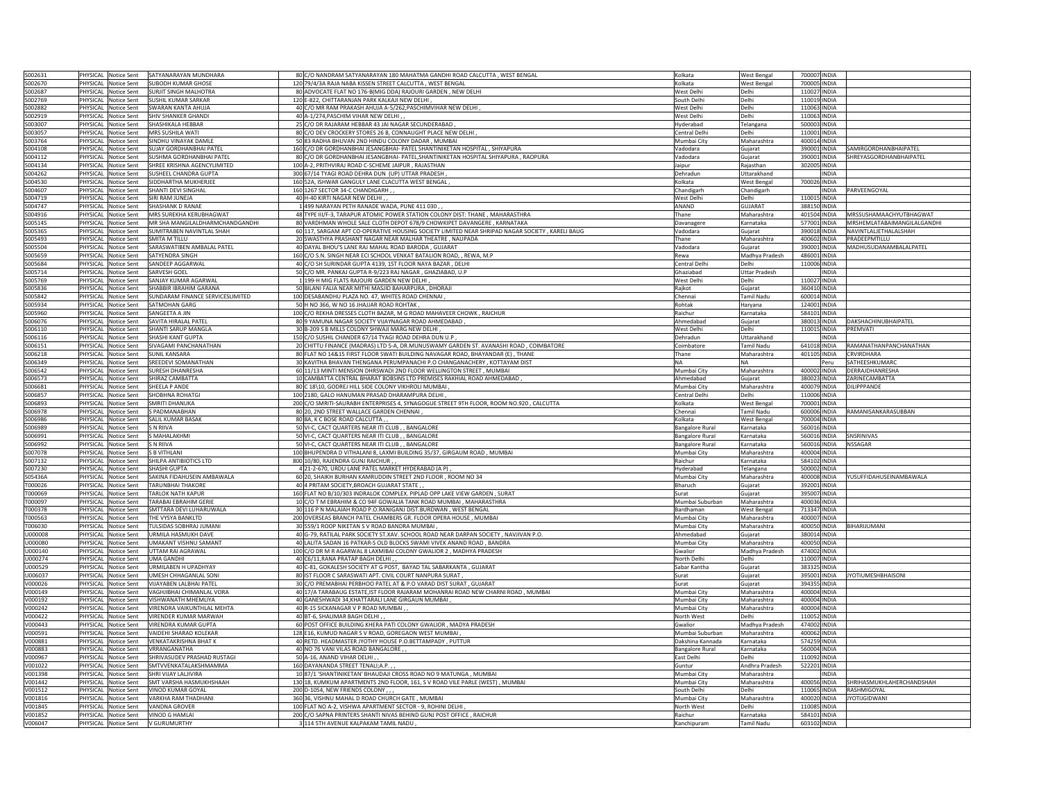| S002631<br>PHYSICAL Notice Sent SATYANARAYAN MUNDHARA<br>80 C/O NANDRAM SATYANARAYAN 180 MAHATMA GANDHI ROAD CALCUTTA, WEST BENGAL<br>\$002670<br>PHYSICAL Notice Sent<br>120 79/4/3A RAJA NABA KISSEN STREET CALCUTTA, WEST BENGAL<br><b>SUBODH KUMAR GHOSE</b> |                        |                                |                              |                             |
|------------------------------------------------------------------------------------------------------------------------------------------------------------------------------------------------------------------------------------------------------------------|------------------------|--------------------------------|------------------------------|-----------------------------|
|                                                                                                                                                                                                                                                                  | Kolkata                | West Bengal                    | 700007 INDIA                 |                             |
|                                                                                                                                                                                                                                                                  | Kolkata                | West Bengal                    | 700005 INDIA                 |                             |
| \$002687<br>PHYSICAL Notice Sent<br><b>SURJIT SINGH MALHOTRA</b><br>80 ADVOCATE FLAT NO 176-B(MIG DDA) RAJOURI GARDEN, NEW DELHI                                                                                                                                 | Vest Delhi             | Delhi                          | 110027 INDIA                 |                             |
| PHYSICAL Notice Sent<br><b>SUSHIL KUMAR SARKAR</b><br>120 E-822, CHITTARANJAN PARK KALKAJI NEW DELHI<br>S002769                                                                                                                                                  | South Delh             | Delhi                          | 110019 INDIA                 |                             |
| 40 C/O MR RAM PRAKASH AHUJA A-5/262, PASCHIMVIHAR NEW DELHI<br>5002882<br>PHYSICAL Notice Sent<br><b>SWARAN KANTA AHUJA</b>                                                                                                                                      | West Delh              | Delhi                          | 110063 INDIA                 |                             |
| PHYSICAL Notice Sent<br>SHIV SHANKER GHANDI<br>40 A-1/274, PASCHIM VIHAR NEW DELHI,<br>\$002919                                                                                                                                                                  | West Delhi             | Delhi                          | 110063 INDIA                 |                             |
| \$003007<br>PHYSICAL Notice Sent<br>SHASHIKALA HEBBAR<br>25 C/O DR RAJARAM HEBBAR 43 JAI NAGAR SECUNDERABAD                                                                                                                                                      | Hyderabad              | Telangana                      | 500003 INDIA                 |                             |
| PHYSICAL Notice Sent<br>MRS SUSHILA WATI<br>80 C/O DEV CROCKERY STORES 26 B, CONNAUGHT PLACE NEW DELHI<br>5003057                                                                                                                                                |                        | Delhi                          | 110001 INDIA                 |                             |
|                                                                                                                                                                                                                                                                  | Central Delhi          |                                |                              |                             |
| PHYSICAL Notice Sent<br>SINDHU VINAYAK DAMLE<br>50 83 RADHA BHUVAN 2ND HINDU COLONY DADAR, MUMBAI<br>\$003764                                                                                                                                                    | Mumbai City            | Maharashtra                    | 400014 INDIA                 |                             |
| PHYSICAL Notice Sent<br>SUJAY GORDHANBHAI PATEL<br>160 C/O DR GORDHANBHAI JESANGBHAI- PATEL SHANTINIKETAN HOSPITAL, SHIYAPURA<br>\$004108                                                                                                                        | 'adodara               | Gujarat                        | 390001 INDIA                 | SAMIRGORDHANBHAIPATEL       |
| 5004112<br>PHYSICAL Notice Sent<br>SUSHMA GORDHANBHAI PATEL<br>80 C/O DR GORDHANBHAI JESANGBHAI- PATEL, SHANTINIKETAN HOSPITAL SHIYAPURA, RAOPURA                                                                                                                | 'adodara               | Guiarat                        | 390001 INDIA                 | SHREYASGORDHANBHAIPATEL     |
| S004134<br>PHYSICAL Notice Sent<br>SHREE KRISHNA AGENCYLIMITED<br>100 A-2, PRITHVIRAJ ROAD C-SCHEME JAIPUR, RAJASTHAN                                                                                                                                            | aipur                  | Rajasthar                      | 302005 INDIA                 |                             |
| 300 67/14 TYAGI ROAD DEHRA DUN (UP) UTTAR PRADESH<br>SUSHEEL CHANDRA GUPTA<br>\$004262<br>PHYSICAL Notice Sent                                                                                                                                                   | Dehradun               | Uttarakhand                    | <b>INDIA</b>                 |                             |
| \$004530<br>PHYSICAL Notice Sent<br>SIDDHARTHA MUKHERJEE<br>160 52A, ISHWAR GANGULY LANE CLACUTTA WEST BENGAL                                                                                                                                                    | Kolkata                | West Benga                     | 700026 INDIA                 |                             |
| PHYSICAL Notice Sent<br>SHANTI DEVI SINGHAL<br>160 1267 SECTOR 34-C CHANDIGARH<br>\$004607                                                                                                                                                                       | Chandigarh             | Chandigarh                     | <b>INDIA</b>                 | PARVEENGOYAL                |
| S004719<br>PHYSICAL Notice Sent<br>SIRI RAM JUNEJA<br>40 H-40 KIRTI NAGAR NEW DELHI,                                                                                                                                                                             | West Delhi             | Delhi                          | 110015 INDIA                 |                             |
| S004747<br>PHYSICAL Notice Sent<br><b>SHASHANK D RANAE</b><br>1499 NARAYAN PETH RANADE WADA, PUNE 411 030,                                                                                                                                                       | ANAND                  | GUJARAT                        | 388150 INDIA                 |                             |
|                                                                                                                                                                                                                                                                  |                        |                                |                              |                             |
| \$004916<br>PHYSICAL Notice Sent<br>MRS SUREKHA KERUBHAGWAT<br>48 TYPE III/F-3, TARAPUR ATOMIC POWER STATION COLONY DIST: THANE, MAHARASTHRA                                                                                                                     | hane                   | Maharashtra                    | 401504 INDIA                 | MRSSUSHAMAACHYUTBHAGWAT     |
| MR SHA MANGILALDHARMCHANDGANDHI<br>80 VARDHMAN WHOLE SALE CLOTH DEPOT 678/9 CHOWKIPET DAVANGERE, KARNATAKA<br>\$005145<br>PHYSICAL Notice Sent                                                                                                                   | Davanagere             | Karnataka                      | 577001 INDIA                 | MRSHEMLATABAIMANGILALGANDHI |
| SUMITRABEN NAVINTLAL SHAH<br>60 117, SARGAM APT CO-OPERATIVE HOUSING SOCIETY LIMITED NEAR SHRIPAD NAGAR SOCIETY , KARELI BAUG<br>PHYSICAL Notice Sent<br>\$005365                                                                                                | Vadodara               | Gujarat                        | 390018 INDIA                 | NAVINTLALJETHALALSHAH       |
| <b>SMITA M TILLU</b><br>20 SWASTHYA PRASHANT NAGAR NEAR MALHAR THEATRE, NAUPADA<br>\$005493<br>PHYSICAL Notice Sent                                                                                                                                              | Thane                  | Maharashtra                    | 400602 INDIA                 | PRADEEPMTILLU               |
| \$005504<br>PHYSICAL Notice Sent<br>SARASWATIBEN AMBALAL PATEL<br>40 DAYAL BHOU'S LANE RAJ MAHAL ROAD BARODA, GUJARAT                                                                                                                                            | /adodara               | Guiarat                        | 390001 INDIA                 | MADHUSUDANAMBALALPATEL      |
| \$005659<br>PHYSICAL Notice Sent<br>SATYENDRA SINGH<br>160 C/O S.N. SINGH NEAR ECI SCHOOL VENKAT BATALION ROAD, , REWA, M.P                                                                                                                                      | Rewa                   | Madhya Pradesh                 | 486001 INDIA                 |                             |
| \$005684<br>PHYSICAL Notice Sent<br>SANDEEP AGGARWAL<br>40 C/O SH SURINDAR GUPTA 4139, 1ST FLOOR NAYA BAZAR, DELHI                                                                                                                                               | Central Delhi          | Delhi                          | 110006 INDIA                 |                             |
| 5005714<br>PHYSICAL Notice Sent<br>SARVESH GOEL<br>50 C/O MR. PANKAJ GUPTA R-9/223 RAJ NAGAR, GHAZIABAD, U.P                                                                                                                                                     | ihaziabad              | Uttar Pradesh                  | <b>INDIA</b>                 |                             |
| 1 199-H MIG FLATS RAJOURI GARDEN NEW DELHI<br>5005769<br>PHYSICAL Notice Sent<br>SANJAY KUMAR AGARWAL                                                                                                                                                            | Vest Delhi             | <b>Delhi</b>                   | 110027 INDIA                 |                             |
|                                                                                                                                                                                                                                                                  |                        |                                |                              |                             |
| 50 BILANI FALIA NEAR MITHI MASJID BAHARPURA, DHORAJI<br>\$005836<br>PHYSICAL Notice Sent<br>SHABBIR IBRAHIM GARANA                                                                                                                                               | aikot                  | Gujarat                        | 360410 INDIA                 |                             |
| SUNDARAM FINANCE SERVICESLIMITED<br>100 DESABANDHU PLAZA NO. 47, WHITES ROAD CHENNAI<br>\$005842<br>PHYSICAL Notice Sent                                                                                                                                         | Chennai                | Tamil Nadu                     | 600014 INDIA                 |                             |
| \$005934<br>PHYSICAL Notice Sent<br>SATMOHAN GARG<br>50 H NO 366, W NO 16 JHAJJAR ROAD ROHTAK                                                                                                                                                                    | Rohtak                 | Harvana                        | 124001 INDIA                 |                             |
| PHYSICAL Notice Sent<br>SANGEETA A JIN<br>100 C/O REKHA DRESSES CLOTH BAZAR, M G ROAD MAHAVEER CHOWK, RAICHUR<br>\$005960                                                                                                                                        | Raichur                | Karnataka                      | 584101 INDIA                 |                             |
| 80 9 YAMUNA NAGAR SOCIETY VIJAYNAGAR ROAD AHMEDABAD,<br>\$006076<br>PHYSICAL Notice Sent<br>SAVITA HIRALAL PATEL                                                                                                                                                 | Ahmedabad              | Gujarat                        | 380013 INDIA                 | DAKSHACHINUBHAIPATEL        |
| 5006110<br>PHYSICAL Notice Sent<br>30 B-209 S B MILLS COLONY SHWAJI MARG NEW DELHI,<br>SHANTI SARUP MANGLA                                                                                                                                                       | West Delhi             | Delhi                          | 110015 INDIA                 | PRFMVATI                    |
| S006116<br>PHYSICAL Notice Sent<br>SHASHI KANT GUPTA<br>150 C/O SUSHIL CHANDER 67/14 TYAGI ROAD DEHRA DUN U.P                                                                                                                                                    | ehradun                | Uttarakhand                    | INDIA                        |                             |
| 20 CHITTU FINANCE (MADRAS) LTD 5-A, DR.MUNUSWAMY GARDEN ST. AVANASHI ROAD, COIMBATORE<br>\$006151<br>PHYSICAL Notice Sent<br>SIVAGAMI PANCHANATHAN                                                                                                               | oimbatore              | Tamil Nadu                     | 641018 INDIA                 | RAMANATHANPANCHANATHAN      |
| 80 FLAT NO 14&15 FIRST FLOOR SWATI BUILDING NAVAGAR ROAD, BHAYANDAR (E), THANE<br>PHYSICAL Notice Sent<br>S006218<br><b>SUNIL KANSARA</b>                                                                                                                        |                        |                                | 401105 INDIA                 | CRVIRDHARA                  |
| 30 KAVITHA BHAVAN THENGANA PERUMPANACHI P.O CHANGANACHERY, KOTTAYAM DIST<br>\$006349<br><b>SREEDEVI SOMANATHAN</b>                                                                                                                                               | Thane                  | Maharashtra<br>NΔ              |                              | SATHFFSHKUMARC              |
| PHYSICAL Notice Sent                                                                                                                                                                                                                                             |                        |                                | Peru                         |                             |
| 60 11/13 MINTI MENSION DHRSWADI 2ND FLOOR WELLINGTON STREET, MUMBAI<br>S006542<br>PHYSICAL Notice Sent<br><b>SURESH DHANRESHA</b>                                                                                                                                | Mumbai City            | Maharashtra                    | 400002 INDIA                 | DERRAJDHANRESHA             |
| \$006573<br>PHYSICAL Notice Sent<br>SHIRAZ CAMBATTA<br>10 CAMBATTA CENTRAL BHARAT BOBSINS LTD PREMISES RAKHIAL ROAD AHMEDABAD                                                                                                                                    | Ahmedabad              | Gujarat                        |                              | 380023 INDIA ZARINECAMBATTA |
| \$006681<br>PHYSICAL Notice Sent<br>80 C 18\10, GODREJ HILL SIDE COLONY VIKHROLI MUMBAI,<br>SHEELA P ANDE                                                                                                                                                        | Mumbai City            | Maharashtra                    | 400079 INDIA                 | <b>DILIPPPANDE</b>          |
| \$006857<br>PHYSICAL Notice Sent<br>SHOBHNA ROHATGI<br>100 2180, GALO HANUMAN PRASAD DHARAMPURA DELHI                                                                                                                                                            | entral Delhi           | Delhi                          | 110006 INDIA                 |                             |
|                                                                                                                                                                                                                                                                  |                        |                                |                              |                             |
| 200 C/O SMRITI-SAURABH ENTERPRISES 4, SYNAGOGUE STREET 9TH FLOOR, ROOM NO.920, CALCUTTA<br>\$006893<br>PHYSICAL Notice Sent<br><b>SMRITI DHANUKA</b>                                                                                                             | olkata                 | West Bengal                    | 700001 INDIA                 |                             |
| S PADMANARHAN                                                                                                                                                                                                                                                    |                        |                                |                              |                             |
| \$006978<br>PHYSICAL Notice Sent<br>80 20, 2ND STREET WALLACE GARDEN CHENNAI,                                                                                                                                                                                    | hennai:                | Tamil Nadu                     | 600006 INDIA                 | RAMANISANKARASUBBAN         |
| 5006986<br>PHYSICAL Notice Sent<br>SALIL KUMAR BASAK<br>80 8A, K C BOSE ROAD CALCUTTA,                                                                                                                                                                           | Kolkata                | West Benga                     | 700004 INDIA                 |                             |
| \$006989<br>PHYSICAL Notice Sent<br>S N RIIVA<br>50 VI-C, CACT QUARTERS NEAR ITI CLUB, , BANGALORE                                                                                                                                                               | Bangalore Rural        | Karnataka                      | 560016 INDIA                 |                             |
| \$006991<br>PHYSICAL Notice Sent<br>S MAHALAKHMI<br>50 VI-C, CACT QUARTERS NEAR ITI CLUB, , BANGALORE                                                                                                                                                            | <b>Bangalore Rural</b> | Karnataka                      | 560016 INDIA                 | SNSRINIVAS                  |
| \$006992<br>PHYSICAL Notice Sent<br>S N RIIVA<br>50 VI-C, CACT QUARTERS NEAR ITI CLUB, , BANGALORE                                                                                                                                                               | <b>Bangalore Rural</b> | Karnataka                      | 560016 INDIA                 | <b>NSSAGAR</b>              |
| 100 BHUPENDRA D VITHALANI 8, LAXMI BUILDING 35/37, GIRGAUM ROAD, MUMBAI<br>\$007078<br>PHYSICAL Notice Sent<br>S B VITHI ANI                                                                                                                                     | Mumbai City            | Maharashtra                    | 400004 INDIA                 |                             |
| S007132<br>PHYSICAL Notice Sent<br>SHILPA ANTIBIOTICS LTD<br>800 10/80, RAJENDRA GUNJ RAICHUR,                                                                                                                                                                   | Raichur                | Karnataka                      | 584102 INDIA                 |                             |
| 5007230<br>PHYSICAL Notice Sent<br>4 21-2-670, URDU LANE PATEL MARKET HYDERABAD (A P)<br>SHASHI GUPTA                                                                                                                                                            | iyderabad              | Telangana                      | 500002 INDIA                 |                             |
| SAKINA FIDAHUSEIN AMBAWALA<br>\$054364                                                                                                                                                                                                                           | Mumbai City            |                                |                              | YUSUFFIDAHUSEINAMBAWALA     |
| 60 20, SHAIKH BURHAN KAMRUDDIN STREET 2ND FLOOR, ROOM NO 34<br>PHYSICAL Notice Sent<br>T000026<br>PHYSICAL Notice Sent<br><b>TARUNBHAI THAKORE</b>                                                                                                               | Bharuch                | Maharashtra<br>Guiarat         | 400008 INDIA<br>392001 INDIA |                             |
| 40 4 PRITAM SOCIETY, BROACH GUJARAT STATE,                                                                                                                                                                                                                       |                        |                                |                              |                             |
| 160 FLAT NO B/10/303 INDRALOK COMPLEX. PIPLAD OPP LAKE VIEW GARDEN, SURAT<br>T000069<br>PHYSICAL Notice Sent<br><b>TARLOK NATH KAPUR</b>                                                                                                                         | Surat                  | Gujarat                        | 395007 INDIA                 |                             |
| 000097<br>PHYSICAL Notice Sent<br>TARABAI EBRAHIM GERIE<br>10 C/O T M EBRAHIM & CO 94F GOWALIA TANK ROAD MUMBAI, MAHARASTHRA                                                                                                                                     | Mumbai Suburban        | Maharashtra                    | 400036 INDIA                 |                             |
| T000378<br>PHYSICAL Notice Sent<br>SMTTARA DEVI LUHARUWALA<br>30 116 P N MALAIAH ROAD P.O.RANIGANJ DIST.BURDWAN, WEST BENGAL                                                                                                                                     | Bardhaman              | <b>West Bengal</b>             | 713347 INDIA                 |                             |
| T000563<br>PHYSICAL Notice Sent<br>THE VYSYA BANKLTD<br>200 OVERSEAS BRANCH PATEL CHAMBERS GR. FLOOR OPERA HOUSE, MUMBAI                                                                                                                                         | Mumbai City            | Maharashtra                    | 400007 INDIA                 |                             |
| T006030<br>TULSIDAS SOBHRAJ JUMANI<br>30 559/1 ROOP NIKETAN S V ROAD BANDRA MUMBAI<br>PHYSICAL Notice Sent                                                                                                                                                       | Mumbai City            | Maharashtra                    | 400050 INDIA                 | BIHARIJUMANI                |
| 40 G-79, RATILAL PARK SOCIETY ST.XAV. SCHOOL ROAD NEAR DARPAN SOCIETY , NAVJIVAN P.O.<br>U000008<br>PHYSICAL Notice Sent<br>URMILA HASMUKH DAVE                                                                                                                  | Ahmedaba               | Gujarat                        | 380014 INDIA                 |                             |
| U000080<br>PHYSICAL Notice Sent<br><b>UMAKANT VISHNU SAMANT</b><br>40 LALITA SADAN 16 PATKAR-S OLD BLOCKS SWAMI VIVEK ANAND ROAD, BANDRA                                                                                                                         | Mumbai City            | Maharashtra                    | 400050 INDIA                 |                             |
| 100 C/O DR M R AGARWAL 8 LAXMIBAI COLONY GWALIOR 2, MADHYA PRADESH<br>U000140<br>PHYSICAL Notice Sent<br>UTTAM RAI AGRAWAL                                                                                                                                       | Gwalior                | Madhya Pradesh                 | 474002 INDIA                 |                             |
| U000274<br>PHYSICAL Notice Sent<br><b>UMA GANDHI</b><br>40 C6/11, RANA PRATAP BAGH DELHI,                                                                                                                                                                        | North Delh             | Delhi                          | 110007 INDIA                 |                             |
|                                                                                                                                                                                                                                                                  |                        |                                |                              |                             |
| U000529<br>PHYSICAL Notice Sent<br>URMILABEN H UPADHYAY<br>40 C-81, GOKALESH SOCIETY AT G POST, BAYAD TAL SABARKANTA , GUJARAT<br>U006037<br>PHYSICAL Notice Sent<br>UMESH CHHAGANLAL SON                                                                        | Sabar Kantha<br>Surat  | Gujarat<br>Guiarat             | 383325 INDIA                 | <b>JYOTIUMESHBHAISONI</b>   |
| 80 IST FLOOR C SARASWATI APT. CIVIL COURT NANPURA SURAT                                                                                                                                                                                                          |                        |                                | 395001 INDIA                 |                             |
| v000026<br>PHYSICAL Notice Sent<br>VIJAYABEN LALBHAI PATEL<br>30 C/O PREMABHAI PERBHOO PATEL AT & P.O VARAD DIST SURAT, GUJARAT                                                                                                                                  | Surat                  | Gujarat                        | 394355 INDIA                 |                             |
| 40 17/A TARABAUG ESTATE, IST FLOOR RAJARAM MOHANRAI ROAD NEW CHARNI ROAD, MUMBAI<br>V000149<br>PHYSICAL Notice Sent<br>VAGHJIBHAI CHIMANLAL VORA                                                                                                                 | Mumbai City            | Maharashtra                    | 400004 INDIA                 |                             |
| 40 GANESHWADI 34, KHATTARALI LANE GIRGAUN MUMBAI<br>VISHWANATH MHEMLIYA<br>V000192<br>PHYSICAL Notice Sent                                                                                                                                                       | Mumbai City            | Maharashtra                    | 400004 INDIA                 |                             |
| V000242<br>PHYSICAL Notice Sent<br>VIRENDRA VAIKUNTHLAL MEHTA<br>40 R-15 SICKANAGAR V P ROAD MUMBAI                                                                                                                                                              | Mumbai City            | Maharashtra                    | 400004 INDIA                 |                             |
| V000422<br>PHYSICAL Notice Sent<br>VIRENDER KUMAR MARWAH<br>40 BT-6, SHALIMAR BAGH DELHI                                                                                                                                                                         | North West             | Delhi                          | 110052 INDIA                 |                             |
| 60 POST OFFICE BUILDING KHERA PATI COLONY GWALIOR, MADYA PRADESH<br>V000443<br>PHYSICAL Notice Sent<br>VIRENDRA KUMAR GUPTA                                                                                                                                      | Gwalior                | Madhya Pradesh                 | 474002 INDIA                 |                             |
| V000591<br>128 E16, KUMUD NAGAR S V ROAD, GOREGAON WEST MUMBAI<br>PHYSICAL Notice Sent<br>VAIDEHI SHARAD KOLEKAR                                                                                                                                                 | Mumbai Suburban        | Maharashtra                    | 400062 INDIA                 |                             |
| /000881<br>PHYSICAL Notice Sent<br><b>VENKATAKRISHNA BHAT K</b><br>40 RETD. HEADMASTER JYOTHY HOUSE P.O.BETTAMPADY, PUTTUR                                                                                                                                       | Dakshina Kannada       | Karnataka                      | 574259 INDIA                 |                             |
| /000883<br>VRRANGANATHA<br>40 NO 76 VANI VILAS ROAD BANGALORE,<br>PHYSICAL Notice Sent                                                                                                                                                                           | angalore Rural         | Karnataka                      | 560004 INDIA                 |                             |
|                                                                                                                                                                                                                                                                  | East Delh              | Delhi                          |                              |                             |
| 50 A-16, ANAND VIHAR DELHI<br>V000967<br>PHYSICAL Notice Sent<br>SHRIVASUDEV PRASHAD RUSTAGI<br>V001022<br>PHYSICAL Notice Sent                                                                                                                                  | Guntur                 | Andhra Pradesh                 | 110092 INDIA                 |                             |
| SMTVVENKATALAKSHMAMMA<br>160 DAYANANDA STREET TENALI;A.P.,                                                                                                                                                                                                       |                        |                                | 522201 INDIA                 |                             |
| V001398<br>PHYSICAL Notice Sent<br>SHRI VIJAY LALJIVIRA<br>1087/1 'SHANTINIKETAN' BHAUDAJI CROSS ROAD NO 9 MATUNGA, MUMBAI                                                                                                                                       | Mumbai City            | Maharashtra                    | <b>INDIA</b>                 |                             |
| V001442<br>PHYSICAL Notice Sent<br>SMT VARSHA HASMUKHSHAAH<br>130 18, KUMKUM APARTMENTS 2ND FLOOR, 161, S V ROAD VILE PARLE (WEST), MUMBAI                                                                                                                       | Mumbai City            | Maharashtra                    | 400056 INDIA                 | SHRIHASMUKHLAHERCHANDSHAH   |
| V001512<br>PHYSICAL Notice Sent<br>VINOD KUMAR GOYAL<br>200 D-1054, NEW FRIENDS COLONY, , ,                                                                                                                                                                      | South Delhi            | Delhi                          | 110065 INDIA                 | RASHMIGOYAL                 |
| VARKHA RAM THADHANI<br>360 36, VISHNU MAHAL D ROAD CHURCH GATE, MUMBAI<br>V001816<br>PHYSICAL Notice Sent                                                                                                                                                        | Mumbai City            | Maharashtra                    | 400020 INDIA                 | <b>JYOTIJGIDWANI</b>        |
| <b>VANDNA GROVER</b><br>100 FLAT NO A-2, VISHWA APARTMENT SECTOR - 9, ROHINI DELHI<br>V001845<br>PHYSICAL Notice Sent                                                                                                                                            | North West             | Delhi                          | 110085 INDIA                 |                             |
| 200 C/O SAPNA PRINTERS SHANTI NIVAS BEHIND GUNJ POST OFFICE, RAICHUR<br>V001852<br>PHYSICAL Notice Sent VINOD G HAMLAI<br>3 114 5TH AVENUE KALPAKAM TAMIL NADU<br>PHYSICAL Notice Sent V GURUMURTHY<br>V006047                                                   | Raichur<br>Kanchipuram | Karnataka<br><b>Tamil Nadu</b> | 584101 INDIA<br>603102 INDIA |                             |